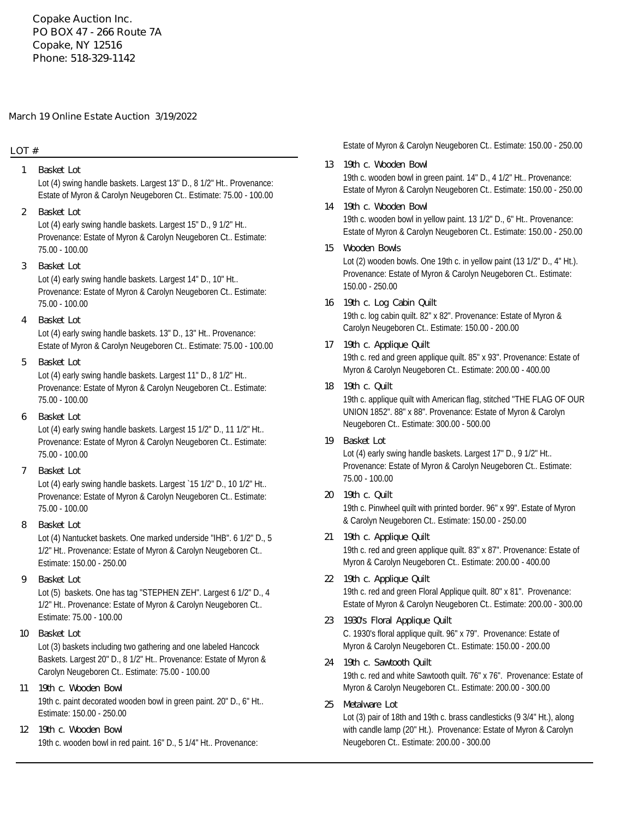**Copake Auction Inc. PO BOX 47 - 266 Route 7A Copake, NY 12516 Phone: 518-329-1142**

### **March 19 Online Estate Auction 3/19/2022**

## **LOT #**

- Lot (4) swing handle baskets. Largest 13" D., 8 1/2" Ht.. Provenance: Estate of Myron & Carolyn Neugeboren Ct.. Estimate: 75.00 - 100.00 **1 Basket Lot**
- Lot (4) early swing handle baskets. Largest 15" D., 9 1/2" Ht.. Provenance: Estate of Myron & Carolyn Neugeboren Ct.. Estimate: 75.00 - 100.00 **2 Basket Lot**
- Lot (4) early swing handle baskets. Largest 14" D., 10" Ht.. Provenance: Estate of Myron & Carolyn Neugeboren Ct.. Estimate: 75.00 - 100.00 **3 Basket Lot**
- Lot (4) early swing handle baskets. 13" D., 13" Ht.. Provenance: Estate of Myron & Carolyn Neugeboren Ct.. Estimate: 75.00 - 100.00 **4 Basket Lot**
- Lot (4) early swing handle baskets. Largest 11" D., 8 1/2" Ht.. Provenance: Estate of Myron & Carolyn Neugeboren Ct.. Estimate: 75.00 - 100.00 **5 Basket Lot**
- **6 Basket Lot**

Lot (4) early swing handle baskets. Largest 15 1/2" D., 11 1/2" Ht.. Provenance: Estate of Myron & Carolyn Neugeboren Ct.. Estimate: 75.00 - 100.00

**7 Basket Lot**

Lot (4) early swing handle baskets. Largest `15 1/2" D., 10 1/2" Ht.. Provenance: Estate of Myron & Carolyn Neugeboren Ct.. Estimate: 75.00 - 100.00

**8 Basket Lot**

Lot (4) Nantucket baskets. One marked underside "IHB". 6 1/2" D., 5 1/2" Ht.. Provenance: Estate of Myron & Carolyn Neugeboren Ct.. Estimate: 150.00 - 250.00

**9 Basket Lot**

Lot (5) baskets. One has tag "STEPHEN ZEH". Largest 6 1/2" D., 4 1/2" Ht.. Provenance: Estate of Myron & Carolyn Neugeboren Ct.. Estimate: 75.00 - 100.00

- Lot (3) baskets including two gathering and one labeled Hancock Baskets. Largest 20" D., 8 1/2" Ht.. Provenance: Estate of Myron & Carolyn Neugeboren Ct.. Estimate: 75.00 - 100.00 **10 Basket Lot**
- 19th c. paint decorated wooden bowl in green paint. 20" D., 6" Ht.. Estimate: 150.00 - 250.00 **11 19th c. Wooden Bowl**
- 19th c. wooden bowl in red paint. 16" D., 5 1/4" Ht.. Provenance: **12 19th c. Wooden Bowl**

Estate of Myron & Carolyn Neugeboren Ct.. Estimate: 150.00 - 250.00

- 19th c. wooden bowl in green paint. 14" D., 4 1/2" Ht.. Provenance: Estate of Myron & Carolyn Neugeboren Ct.. Estimate: 150.00 - 250.00 **13 19th c. Wooden Bowl**
- 19th c. wooden bowl in yellow paint. 13 1/2" D., 6" Ht.. Provenance: Estate of Myron & Carolyn Neugeboren Ct.. Estimate: 150.00 - 250.00 **14 19th c. Wooden Bowl**
- Lot (2) wooden bowls. One 19th c. in yellow paint (13 1/2" D., 4" Ht.). Provenance: Estate of Myron & Carolyn Neugeboren Ct.. Estimate: 150.00 - 250.00 **15 Wooden Bowls**
- 19th c. log cabin quilt. 82" x 82". Provenance: Estate of Myron & Carolyn Neugeboren Ct.. Estimate: 150.00 - 200.00 **16 19th c. Log Cabin Quilt**
- 19th c. red and green applique quilt. 85" x 93". Provenance: Estate of Myron & Carolyn Neugeboren Ct.. Estimate: 200.00 - 400.00 **17 19th c. Applique Quilt**
- 19th c. applique quilt with American flag, stitched "THE FLAG OF OUR UNION 1852". 88" x 88". Provenance: Estate of Myron & Carolyn Neugeboren Ct.. Estimate: 300.00 - 500.00 **18 19th c. Quilt**
- Lot (4) early swing handle baskets. Largest 17" D., 9 1/2" Ht.. Provenance: Estate of Myron & Carolyn Neugeboren Ct.. Estimate: 75.00 - 100.00 **19 Basket Lot**
- 19th c. Pinwheel quilt with printed border. 96" x 99". Estate of Myron & Carolyn Neugeboren Ct.. Estimate: 150.00 - 250.00 **20 19th c. Quilt**
- 19th c. red and green applique quilt. 83" x 87". Provenance: Estate of Myron & Carolyn Neugeboren Ct.. Estimate: 200.00 - 400.00 **21 19th c. Applique Quilt**
- 19th c. red and green Floral Applique quilt. 80" x 81". Provenance: Estate of Myron & Carolyn Neugeboren Ct.. Estimate: 200.00 - 300.00 **22 19th c. Applique Quilt**
- C. 1930's floral applique quilt. 96" x 79". Provenance: Estate of Myron & Carolyn Neugeboren Ct.. Estimate: 150.00 - 200.00 **23 1930's Floral Applique Quilt**
- 19th c. red and white Sawtooth quilt. 76" x 76". Provenance: Estate of Myron & Carolyn Neugeboren Ct.. Estimate: 200.00 - 300.00 **24 19th c. Sawtooth Quilt**
- Lot (3) pair of 18th and 19th c. brass candlesticks (9 3/4" Ht.), along with candle lamp (20" Ht.). Provenance: Estate of Myron & Carolyn Neugeboren Ct.. Estimate: 200.00 - 300.00 **25 Metalware Lot**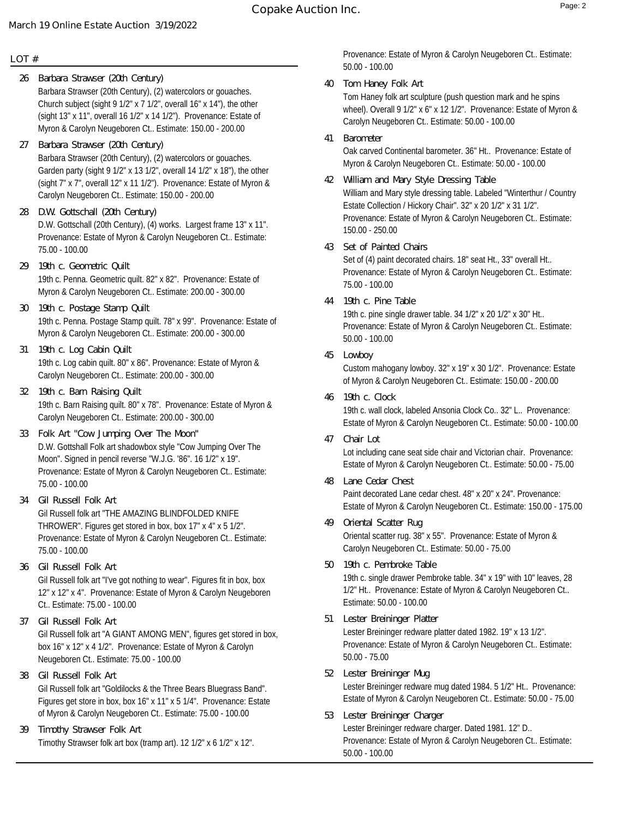## **LOT #**

- Barbara Strawser (20th Century), (2) watercolors or gouaches. Church subject (sight 9 1/2" x 7 1/2", overall 16" x 14"), the other (sight 13" x 11", overall 16 1/2" x 14 1/2"). Provenance: Estate of Myron & Carolyn Neugeboren Ct.. Estimate: 150.00 - 200.00 **26 Barbara Strawser (20th Century)**
- Barbara Strawser (20th Century), (2) watercolors or gouaches. Garden party (sight 9 1/2" x 13 1/2", overall 14 1/2" x 18"), the other (sight 7" x 7", overall 12" x 11 1/2"). Provenance: Estate of Myron & Carolyn Neugeboren Ct.. Estimate: 150.00 - 200.00 **27 Barbara Strawser (20th Century)**
- D.W. Gottschall (20th Century), (4) works. Largest frame 13" x 11". Provenance: Estate of Myron & Carolyn Neugeboren Ct.. Estimate: 75.00 - 100.00 **28 D.W. Gottschall (20th Century)**
- 19th c. Penna. Geometric quilt. 82" x 82". Provenance: Estate of Myron & Carolyn Neugeboren Ct.. Estimate: 200.00 - 300.00 **29 19th c. Geometric Quilt**
- 19th c. Penna. Postage Stamp quilt. 78" x 99". Provenance: Estate of Myron & Carolyn Neugeboren Ct.. Estimate: 200.00 - 300.00 **30 19th c. Postage Stamp Quilt**
- 19th c. Log cabin quilt. 80" x 86". Provenance: Estate of Myron & Carolyn Neugeboren Ct.. Estimate: 200.00 - 300.00 **31 19th c. Log Cabin Quilt**
- 19th c. Barn Raising quilt. 80" x 78". Provenance: Estate of Myron & Carolyn Neugeboren Ct.. Estimate: 200.00 - 300.00 **32 19th c. Barn Raising Quilt**
- D.W. Gottshall Folk art shadowbox style "Cow Jumping Over The Moon". Signed in pencil reverse "W.J.G. '86". 16 1/2" x 19". Provenance: Estate of Myron & Carolyn Neugeboren Ct.. Estimate: 75.00 - 100.00 **33 Folk Art "Cow Jumping Over The Moon"**
- Gil Russell folk art "THE AMAZING BLINDFOLDED KNIFE THROWER". Figures get stored in box, box 17" x 4" x 5 1/2". Provenance: Estate of Myron & Carolyn Neugeboren Ct.. Estimate: 75.00 - 100.00 **34 Gil Russell Folk Art**
- Gil Russell folk art "I've got nothing to wear". Figures fit in box, box 12" x 12" x 4". Provenance: Estate of Myron & Carolyn Neugeboren Ct.. Estimate: 75.00 - 100.00 **36 Gil Russell Folk Art**
- Gil Russell folk art "A GIANT AMONG MEN", figures get stored in box, box 16" x 12" x 4 1/2". Provenance: Estate of Myron & Carolyn Neugeboren Ct.. Estimate: 75.00 - 100.00 **37 Gil Russell Folk Art**
- Gil Russell folk art "Goldilocks & the Three Bears Bluegrass Band". Figures get store in box, box 16" x 11" x 5 1/4". Provenance: Estate of Myron & Carolyn Neugeboren Ct.. Estimate: 75.00 - 100.00 **38 Gil Russell Folk Art**
- Timothy Strawser folk art box (tramp art). 12 1/2" x 6 1/2" x 12". **39 Timothy Strawser Folk Art**

Provenance: Estate of Myron & Carolyn Neugeboren Ct.. Estimate: 50.00 - 100.00

- Tom Haney folk art sculpture (push question mark and he spins wheel). Overall 9 1/2" x 6" x 12 1/2". Provenance: Estate of Myron & Carolyn Neugeboren Ct.. Estimate: 50.00 - 100.00 **40 Tom Haney Folk Art**
- Oak carved Continental barometer. 36" Ht.. Provenance: Estate of Myron & Carolyn Neugeboren Ct.. Estimate: 50.00 - 100.00 **41 Barometer**
- William and Mary style dressing table. Labeled "Winterthur / Country Estate Collection / Hickory Chair". 32" x 20 1/2" x 31 1/2". Provenance: Estate of Myron & Carolyn Neugeboren Ct.. Estimate: 150.00 - 250.00 **42 William and Mary Style Dressing Table**
- **43 Set of Painted Chairs**

Set of (4) paint decorated chairs. 18" seat Ht., 33" overall Ht.. Provenance: Estate of Myron & Carolyn Neugeboren Ct.. Estimate: 75.00 - 100.00

**44 19th c. Pine Table**

19th c. pine single drawer table. 34 1/2" x 20 1/2" x 30" Ht.. Provenance: Estate of Myron & Carolyn Neugeboren Ct.. Estimate: 50.00 - 100.00

**45 Lowboy**

Custom mahogany lowboy. 32" x 19" x 30 1/2". Provenance: Estate of Myron & Carolyn Neugeboren Ct.. Estimate: 150.00 - 200.00

- 19th c. wall clock, labeled Ansonia Clock Co.. 32" L.. Provenance: Estate of Myron & Carolyn Neugeboren Ct.. Estimate: 50.00 - 100.00 **46 19th c. Clock**
- Lot including cane seat side chair and Victorian chair. Provenance: Estate of Myron & Carolyn Neugeboren Ct.. Estimate: 50.00 - 75.00 **47 Chair Lot**
- Paint decorated Lane cedar chest. 48" x 20" x 24". Provenance: Estate of Myron & Carolyn Neugeboren Ct.. Estimate: 150.00 - 175.00 **48 Lane Cedar Chest**
- Oriental scatter rug. 38" x 55". Provenance: Estate of Myron & Carolyn Neugeboren Ct.. Estimate: 50.00 - 75.00 **49 Oriental Scatter Rug**
- 19th c. single drawer Pembroke table. 34" x 19" with 10" leaves, 28 1/2" Ht.. Provenance: Estate of Myron & Carolyn Neugeboren Ct.. Estimate: 50.00 - 100.00 **50 19th c. Pembroke Table**
- Lester Breininger redware platter dated 1982. 19" x 13 1/2". Provenance: Estate of Myron & Carolyn Neugeboren Ct.. Estimate: 50.00 - 75.00 **51 Lester Breininger Platter**
- Lester Breininger redware mug dated 1984. 5 1/2" Ht.. Provenance: Estate of Myron & Carolyn Neugeboren Ct.. Estimate: 50.00 - 75.00 **52 Lester Breininger Mug**
- Lester Breininger redware charger. Dated 1981. 12" D.. Provenance: Estate of Myron & Carolyn Neugeboren Ct.. Estimate: 50.00 - 100.00 **53 Lester Breininger Charger**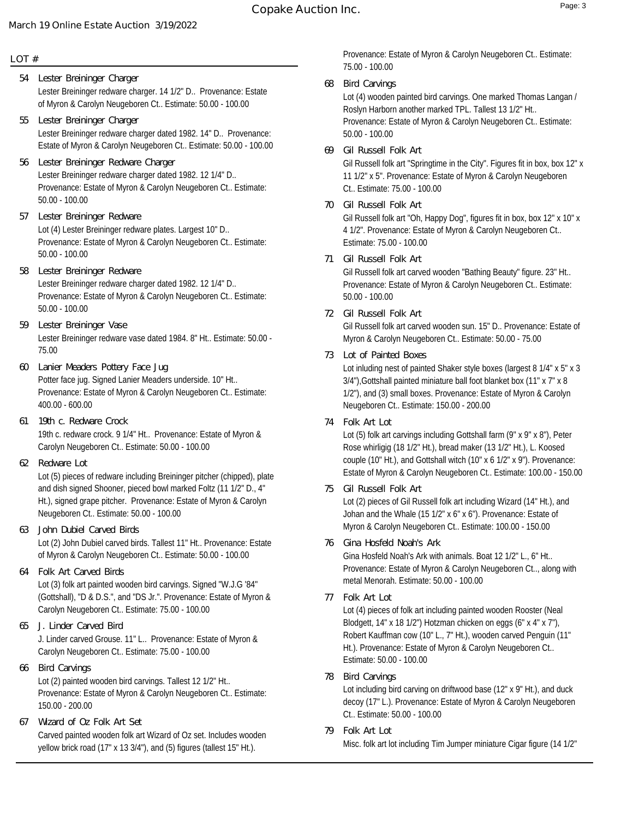## **LOT #**

- Lester Breininger redware charger. 14 1/2" D.. Provenance: Estate of Myron & Carolyn Neugeboren Ct.. Estimate: 50.00 - 100.00 **54 Lester Breininger Charger**
- Lester Breininger redware charger dated 1982. 14" D.. Provenance: Estate of Myron & Carolyn Neugeboren Ct.. Estimate: 50.00 - 100.00 **55 Lester Breininger Charger**
- Lester Breininger redware charger dated 1982. 12 1/4" D.. Provenance: Estate of Myron & Carolyn Neugeboren Ct.. Estimate: 50.00 - 100.00 **56 Lester Breininger Redware Charger**
- Lot (4) Lester Breininger redware plates. Largest 10" D.. Provenance: Estate of Myron & Carolyn Neugeboren Ct.. Estimate: 50.00 - 100.00 **57 Lester Breininger Redware**
- Lester Breininger redware charger dated 1982. 12 1/4" D.. Provenance: Estate of Myron & Carolyn Neugeboren Ct.. Estimate: 50.00 - 100.00 **58 Lester Breininger Redware**
- Lester Breininger redware vase dated 1984. 8" Ht.. Estimate: 50.00 75.00 **59 Lester Breininger Vase**
- Potter face jug. Signed Lanier Meaders underside. 10" Ht.. Provenance: Estate of Myron & Carolyn Neugeboren Ct.. Estimate: 400.00 - 600.00 **60 Lanier Meaders Pottery Face Jug**
- 19th c. redware crock. 9 1/4" Ht.. Provenance: Estate of Myron & Carolyn Neugeboren Ct.. Estimate: 50.00 - 100.00 **61 19th c. Redware Crock**
- **62 Redware Lot**

Lot (5) pieces of redware including Breininger pitcher (chipped), plate and dish signed Shooner, pieced bowl marked Foltz (11 1/2" D., 4" Ht.), signed grape pitcher. Provenance: Estate of Myron & Carolyn Neugeboren Ct.. Estimate: 50.00 - 100.00

- Lot (2) John Dubiel carved birds. Tallest 11" Ht.. Provenance: Estate of Myron & Carolyn Neugeboren Ct.. Estimate: 50.00 - 100.00 **63 John Dubiel Carved Birds**
- Lot (3) folk art painted wooden bird carvings. Signed "W.J.G '84" (Gottshall), "D & D.S.", and "DS Jr.". Provenance: Estate of Myron & Carolyn Neugeboren Ct.. Estimate: 75.00 - 100.00 **64 Folk Art Carved Birds**
- J. Linder carved Grouse. 11" L.. Provenance: Estate of Myron & Carolyn Neugeboren Ct.. Estimate: 75.00 - 100.00 **65 J. Linder Carved Bird**
- Lot (2) painted wooden bird carvings. Tallest 12 1/2" Ht.. Provenance: Estate of Myron & Carolyn Neugeboren Ct.. Estimate: 150.00 - 200.00 **66 Bird Carvings**
- Carved painted wooden folk art Wizard of Oz set. Includes wooden yellow brick road (17" x 13 3/4"), and (5) figures (tallest 15" Ht.). **67 Wizard of Oz Folk Art Set**

Provenance: Estate of Myron & Carolyn Neugeboren Ct.. Estimate: 75.00 - 100.00

**68 Bird Carvings**

Lot (4) wooden painted bird carvings. One marked Thomas Langan / Roslyn Harborn another marked TPL. Tallest 13 1/2" Ht.. Provenance: Estate of Myron & Carolyn Neugeboren Ct.. Estimate: 50.00 - 100.00

**69 Gil Russell Folk Art**

Gil Russell folk art "Springtime in the City". Figures fit in box, box 12" x 11 1/2" x 5". Provenance: Estate of Myron & Carolyn Neugeboren Ct.. Estimate: 75.00 - 100.00

**70 Gil Russell Folk Art**

Gil Russell folk art "Oh, Happy Dog", figures fit in box, box 12" x 10" x 4 1/2". Provenance: Estate of Myron & Carolyn Neugeboren Ct.. Estimate: 75.00 - 100.00

**71 Gil Russell Folk Art**

Gil Russell folk art carved wooden "Bathing Beauty" figure. 23" Ht.. Provenance: Estate of Myron & Carolyn Neugeboren Ct.. Estimate: 50.00 - 100.00

**72 Gil Russell Folk Art**

Gil Russell folk art carved wooden sun. 15" D.. Provenance: Estate of Myron & Carolyn Neugeboren Ct.. Estimate: 50.00 - 75.00

- Lot inluding nest of painted Shaker style boxes (largest 8 1/4" x 5" x 3 3/4"),Gottshall painted miniature ball foot blanket box (11" x 7" x 8 1/2"), and (3) small boxes. Provenance: Estate of Myron & Carolyn Neugeboren Ct.. Estimate: 150.00 - 200.00 **73 Lot of Painted Boxes**
- **74 Folk Art Lot**

Lot (5) folk art carvings including Gottshall farm (9" x 9" x 8"), Peter Rose whirligig (18 1/2" Ht.), bread maker (13 1/2" Ht.), L. Koosed couple (10" Ht.), and Gottshall witch (10" x 6 1/2" x 9"). Provenance: Estate of Myron & Carolyn Neugeboren Ct.. Estimate: 100.00 - 150.00

**75 Gil Russell Folk Art**

Lot (2) pieces of Gil Russell folk art including Wizard (14" Ht.), and Johan and the Whale (15 1/2" x 6" x 6"). Provenance: Estate of Myron & Carolyn Neugeboren Ct.. Estimate: 100.00 - 150.00

- Gina Hosfeld Noah's Ark with animals. Boat 12 1/2" L., 6" Ht.. Provenance: Estate of Myron & Carolyn Neugeboren Ct.., along with metal Menorah. Estimate: 50.00 - 100.00 **76 Gina Hosfeld Noah's Ark**
- **77 Folk Art Lot**

Lot (4) pieces of folk art including painted wooden Rooster (Neal Blodgett, 14" x 18 1/2") Hotzman chicken on eggs (6" x 4" x 7"), Robert Kauffman cow (10" L., 7" Ht.), wooden carved Penguin (11" Ht.). Provenance: Estate of Myron & Carolyn Neugeboren Ct.. Estimate: 50.00 - 100.00

**78 Bird Carvings**

Lot including bird carving on driftwood base (12" x 9" Ht.), and duck decoy (17" L.). Provenance: Estate of Myron & Carolyn Neugeboren Ct.. Estimate: 50.00 - 100.00

Misc. folk art lot including Tim Jumper miniature Cigar figure (14 1/2" **79 Folk Art Lot**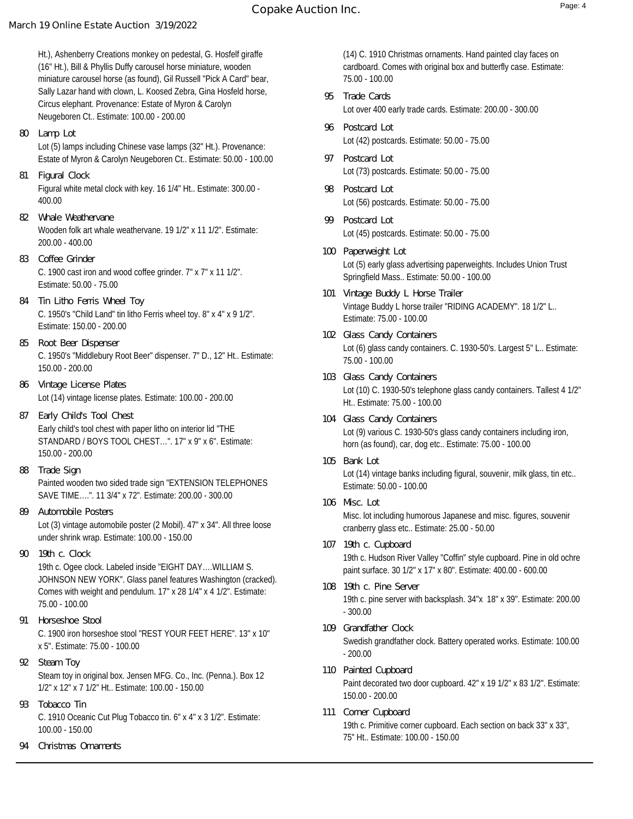Ht.), Ashenberry Creations monkey on pedestal, G. Hosfelf giraffe (16" Ht.), Bill & Phyllis Duffy carousel horse miniature, wooden miniature carousel horse (as found), Gil Russell "Pick A Card" bear, Sally Lazar hand with clown, L. Koosed Zebra, Gina Hosfeld horse, Circus elephant. Provenance: Estate of Myron & Carolyn Neugeboren Ct.. Estimate: 100.00 - 200.00

- Lot (5) lamps including Chinese vase lamps (32" Ht.). Provenance: Estate of Myron & Carolyn Neugeboren Ct.. Estimate: 50.00 - 100.00 **80 Lamp Lot**
- Figural white metal clock with key. 16 1/4" Ht.. Estimate: 300.00 400.00 **81 Figural Clock**
- Wooden folk art whale weathervane. 19 1/2" x 11 1/2". Estimate: 200.00 - 400.00 **82 Whale Weathervane**
- C. 1900 cast iron and wood coffee grinder. 7" x 7" x 11 1/2". Estimate: 50.00 - 75.00 **83 Coffee Grinder**
- C. 1950's "Child Land" tin litho Ferris wheel toy. 8" x 4" x 9 1/2". Estimate: 150.00 - 200.00 **84 Tin Litho Ferris Wheel Toy**
- C. 1950's "Middlebury Root Beer" dispenser. 7" D., 12" Ht.. Estimate: 150.00 - 200.00 **85 Root Beer Dispenser**
- Lot (14) vintage license plates. Estimate: 100.00 200.00 **86 Vintage License Plates**
- Early child's tool chest with paper litho on interior lid "THE STANDARD / BOYS TOOL CHEST…". 17" x 9" x 6". Estimate: 150.00 - 200.00 **87 Early Child's Tool Chest**
- Painted wooden two sided trade sign "EXTENSION TELEPHONES SAVE TIME….". 11 3/4" x 72". Estimate: 200.00 - 300.00 **88 Trade Sign**
- Lot (3) vintage automobile poster (2 Mobil). 47" x 34". All three loose under shrink wrap. Estimate: 100.00 - 150.00 **89 Automobile Posters**
- **90 19th c. Clock**

19th c. Ogee clock. Labeled inside "EIGHT DAY….WILLIAM S. JOHNSON NEW YORK". Glass panel features Washington (cracked). Comes with weight and pendulum. 17" x 28 1/4" x 4 1/2". Estimate: 75.00 - 100.00

- C. 1900 iron horseshoe stool "REST YOUR FEET HERE". 13" x 10" x 5". Estimate: 75.00 - 100.00 **91 Horseshoe Stool**
- Steam toy in original box. Jensen MFG. Co., Inc. (Penna.). Box 12 1/2" x 12" x 7 1/2" Ht.. Estimate: 100.00 - 150.00 **92 Steam Toy**
- C. 1910 Oceanic Cut Plug Tobacco tin. 6" x 4" x 3 1/2". Estimate: 100.00 - 150.00 **93 Tobacco Tin**
- **94 Christmas Ornaments**

(14) C. 1910 Christmas ornaments. Hand painted clay faces on cardboard. Comes with original box and butterfly case. Estimate: 75.00 - 100.00

- Lot over 400 early trade cards. Estimate: 200.00 300.00 **95 Trade Cards**
- Lot (42) postcards. Estimate: 50.00 75.00 **96 Postcard Lot**
- Lot (73) postcards. Estimate: 50.00 75.00 **97 Postcard Lot**
- Lot (56) postcards. Estimate: 50.00 75.00 **98 Postcard Lot**
- Lot (45) postcards. Estimate: 50.00 75.00 **99 Postcard Lot**
- Lot (5) early glass advertising paperweights. Includes Union Trust Springfield Mass.. Estimate: 50.00 - 100.00 **100 Paperweight Lot**
- Vintage Buddy L horse trailer "RIDING ACADEMY". 18 1/2" L.. Estimate: 75.00 - 100.00 **101 Vintage Buddy L Horse Trailer**
- Lot (6) glass candy containers. C. 1930-50's. Largest 5" L.. Estimate: 75.00 - 100.00 **102 Glass Candy Containers**
- Lot (10) C. 1930-50's telephone glass candy containers. Tallest 4 1/2" Ht.. Estimate: 75.00 - 100.00 **103 Glass Candy Containers**
- Lot (9) various C. 1930-50's glass candy containers including iron, horn (as found), car, dog etc.. Estimate: 75.00 - 100.00 **104 Glass Candy Containers**
- Lot (14) vintage banks including figural, souvenir, milk glass, tin etc.. Estimate: 50.00 - 100.00 **105 Bank Lot**
- Misc. lot including humorous Japanese and misc. figures, souvenir cranberry glass etc.. Estimate: 25.00 - 50.00 **106 Misc. Lot**
- 19th c. Hudson River Valley "Coffin" style cupboard. Pine in old ochre paint surface. 30 1/2" x 17" x 80". Estimate: 400.00 - 600.00 **107 19th c. Cupboard**
- 19th c. pine server with backsplash. 34"x 18" x 39". Estimate: 200.00 - 300.00 **108 19th c. Pine Server**
- Swedish grandfather clock. Battery operated works. Estimate: 100.00 - 200.00 **109 Grandfather Clock**
- Paint decorated two door cupboard. 42" x 19 1/2" x 83 1/2". Estimate: 150.00 - 200.00 **110 Painted Cupboard**
- 19th c. Primitive corner cupboard. Each section on back 33" x 33", 75" Ht.. Estimate: 100.00 - 150.00 **111 Corner Cupboard**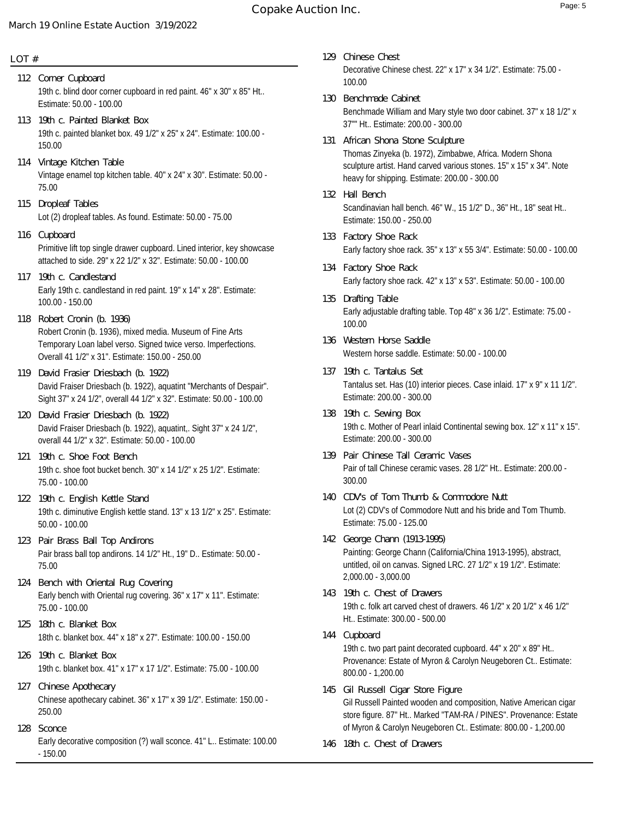# **Copake Auction Inc.** Page: 5

# **March 19 Online Estate Auction 3/19/2022**

#### **LOT #**

- 19th c. blind door corner cupboard in red paint. 46" x 30" x 85" Ht.. Estimate: 50.00 - 100.00 **112 Corner Cupboard**
- 19th c. painted blanket box. 49 1/2" x 25" x 24". Estimate: 100.00 150.00 **113 19th c. Painted Blanket Box**
- Vintage enamel top kitchen table. 40" x 24" x 30". Estimate: 50.00 75.00 **114 Vintage Kitchen Table**
- Lot (2) dropleaf tables. As found. Estimate: 50.00 75.00 **115 Dropleaf Tables**
- Primitive lift top single drawer cupboard. Lined interior, key showcase attached to side. 29" x 22 1/2" x 32". Estimate: 50.00 - 100.00 **116 Cupboard**
- Early 19th c. candlestand in red paint. 19" x 14" x 28". Estimate: 100.00 - 150.00 **117 19th c. Candlestand**
- Robert Cronin (b. 1936), mixed media. Museum of Fine Arts Temporary Loan label verso. Signed twice verso. Imperfections. Overall 41 1/2" x 31". Estimate: 150.00 - 250.00 **118 Robert Cronin (b. 1936)**
- David Fraiser Driesbach (b. 1922), aquatint "Merchants of Despair". Sight 37" x 24 1/2", overall 44 1/2" x 32". Estimate: 50.00 - 100.00 **119 David Frasier Driesbach (b. 1922)**
- David Fraiser Driesbach (b. 1922), aquatint,. Sight 37" x 24 1/2", overall 44 1/2" x 32". Estimate: 50.00 - 100.00 **120 David Frasier Driesbach (b. 1922)**
- 19th c. shoe foot bucket bench. 30" x 14 1/2" x 25 1/2". Estimate: 75.00 - 100.00 **121 19th c. Shoe Foot Bench**
- 19th c. diminutive English kettle stand. 13" x 13 1/2" x 25". Estimate: 50.00 - 100.00 **122 19th c. English Kettle Stand**
- Pair brass ball top andirons. 14 1/2" Ht., 19" D.. Estimate: 50.00 75.00 **123 Pair Brass Ball Top Andirons**
- Early bench with Oriental rug covering. 36" x 17" x 11". Estimate: 75.00 - 100.00 **124 Bench with Oriental Rug Covering**
- 18th c. blanket box. 44" x 18" x 27". Estimate: 100.00 150.00 **125 18th c. Blanket Box**
- 19th c. blanket box. 41" x 17" x 17 1/2". Estimate: 75.00 100.00 **126 19th c. Blanket Box**
- Chinese apothecary cabinet. 36" x 17" x 39 1/2". Estimate: 150.00 250.00 **127 Chinese Apothecary**
- Early decorative composition (?) wall sconce. 41" L.. Estimate: 100.00 - 150.00 **128 Sconce**
- Decorative Chinese chest. 22" x 17" x 34 1/2". Estimate: 75.00 100.00 **129 Chinese Chest**
- Benchmade William and Mary style two door cabinet. 37" x 18 1/2" x 37"" Ht.. Estimate: 200.00 - 300.00 **130 Benchmade Cabinet**
- Thomas Zinyeka (b. 1972), Zimbabwe, Africa. Modern Shona sculpture artist. Hand carved various stones. 15" x 15" x 34". Note heavy for shipping. Estimate: 200.00 - 300.00 **131 African Shona Stone Sculpture**
- Scandinavian hall bench. 46" W., 15 1/2" D., 36" Ht., 18" seat Ht.. Estimate: 150.00 - 250.00 **132 Hall Bench**
- Early factory shoe rack. 35" x 13" x 55 3/4". Estimate: 50.00 100.00 **133 Factory Shoe Rack**
- Early factory shoe rack. 42" x 13" x 53". Estimate: 50.00 100.00 **134 Factory Shoe Rack**
- Early adjustable drafting table. Top 48" x 36 1/2". Estimate: 75.00 100.00 **135 Drafting Table**
- Western horse saddle. Estimate: 50.00 100.00 **136 Western Horse Saddle**
- Tantalus set. Has (10) interior pieces. Case inlaid. 17" x 9" x 11 1/2". Estimate: 200.00 - 300.00 **137 19th c. Tantalus Set**
- 19th c. Mother of Pearl inlaid Continental sewing box. 12" x 11" x 15". Estimate: 200.00 - 300.00 **138 19th c. Sewing Box**
- Pair of tall Chinese ceramic vases. 28 1/2" Ht.. Estimate: 200.00 300.00 **139 Pair Chinese Tall Ceramic Vases**
- Lot (2) CDV's of Commodore Nutt and his bride and Tom Thumb. Estimate: 75.00 - 125.00 **140 CDV's of Tom Thumb & Commodore Nutt**
- Painting: George Chann (California/China 1913-1995), abstract, untitled, oil on canvas. Signed LRC. 27 1/2" x 19 1/2". Estimate: 2,000.00 - 3,000.00 **142 George Chann (1913-1995)**
- 19th c. folk art carved chest of drawers. 46 1/2" x 20 1/2" x 46 1/2" Ht.. Estimate: 300.00 - 500.00 **143 19th c. Chest of Drawers**
- 19th c. two part paint decorated cupboard. 44" x 20" x 89" Ht.. Provenance: Estate of Myron & Carolyn Neugeboren Ct.. Estimate: 800.00 - 1,200.00 **144 Cupboard**
- Gil Russell Painted wooden and composition, Native American cigar store figure. 87" Ht.. Marked "TAM-RA / PINES". Provenance: Estate of Myron & Carolyn Neugeboren Ct.. Estimate: 800.00 - 1,200.00 **145 Gil Russell Cigar Store Figure**
- **146 18th c. Chest of Drawers**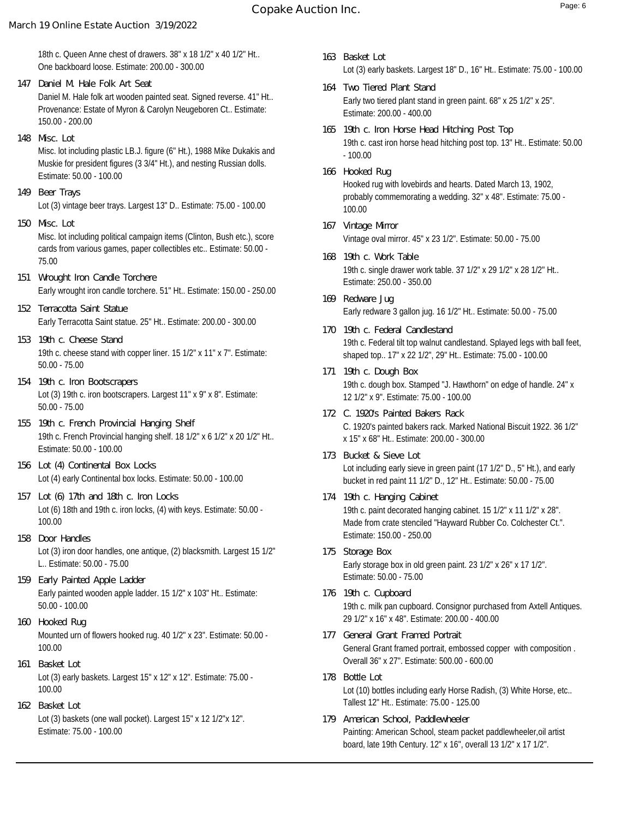# **Copake Auction Inc.** The comparison of the contract of the contract of the contract of the contract of the contract of the contract of the contract of the contract of the contract of the contract of the contract of the co

# **March 19 Online Estate Auction 3/19/2022**

- Daniel M. Hale folk art wooden painted seat. Signed reverse. 41" Ht.. Provenance: Estate of Myron & Carolyn Neugeboren Ct.. Estimate: 150.00 - 200.00 **147 Daniel M. Hale Folk Art Seat**
- Misc. lot including plastic LB.J. figure (6" Ht.), 1988 Mike Dukakis and Muskie for president figures (3 3/4" Ht.), and nesting Russian dolls. Estimate: 50.00 - 100.00 **148 Misc. Lot**
- Lot (3) vintage beer trays. Largest 13" D.. Estimate: 75.00 100.00 **149 Beer Trays**
- Misc. lot including political campaign items (Clinton, Bush etc.), score cards from various games, paper collectibles etc.. Estimate: 50.00 - 75.00 **150 Misc. Lot**
- Early wrought iron candle torchere. 51" Ht.. Estimate: 150.00 250.00 **151 Wrought Iron Candle Torchere**
- Early Terracotta Saint statue. 25" Ht.. Estimate: 200.00 300.00 **152 Terracotta Saint Statue**
- 19th c. cheese stand with copper liner. 15 1/2" x 11" x 7". Estimate: 50.00 - 75.00 **153 19th c. Cheese Stand**
- Lot (3) 19th c. iron bootscrapers. Largest 11" x 9" x 8". Estimate: 50.00 - 75.00 **154 19th c. Iron Bootscrapers**
- 19th c. French Provincial hanging shelf. 18 1/2" x 6 1/2" x 20 1/2" Ht.. Estimate: 50.00 - 100.00 **155 19th c. French Provincial Hanging Shelf**
- Lot (4) early Continental box locks. Estimate: 50.00 100.00 **156 Lot (4) Continental Box Locks**
- Lot (6) 18th and 19th c. iron locks, (4) with keys. Estimate: 50.00 100.00 **157 Lot (6) 17th and 18th c. Iron Locks**
- Lot (3) iron door handles, one antique, (2) blacksmith. Largest 15 1/2" L.. Estimate: 50.00 - 75.00 **158 Door Handles**
- Early painted wooden apple ladder. 15 1/2" x 103" Ht.. Estimate: 50.00 - 100.00 **159 Early Painted Apple Ladder**
- Mounted urn of flowers hooked rug. 40 1/2" x 23". Estimate: 50.00 100.00 **160 Hooked Rug**
- Lot (3) early baskets. Largest 15" x 12" x 12". Estimate: 75.00 100.00 **161 Basket Lot**
- Lot (3) baskets (one wall pocket). Largest 15" x 12 1/2"x 12". Estimate: 75.00 - 100.00 **162 Basket Lot**
- Lot (3) early baskets. Largest 18" D., 16" Ht.. Estimate: 75.00 100.00 **163 Basket Lot**
- Early two tiered plant stand in green paint. 68" x 25 1/2" x 25". Estimate: 200.00 - 400.00 **164 Two Tiered Plant Stand**
- 19th c. cast iron horse head hitching post top. 13" Ht.. Estimate: 50.00 - 100.00 **165 19th c. Iron Horse Head Hitching Post Top**
- Hooked rug with lovebirds and hearts. Dated March 13, 1902, probably commemorating a wedding. 32" x 48". Estimate: 75.00 - 100.00 **166 Hooked Rug**
- Vintage oval mirror. 45" x 23 1/2". Estimate: 50.00 75.00 **167 Vintage Mirror**
- 19th c. single drawer work table. 37 1/2" x 29 1/2" x 28 1/2" Ht.. Estimate: 250.00 - 350.00 **168 19th c. Work Table**
- Early redware 3 gallon jug. 16 1/2" Ht.. Estimate: 50.00 75.00 **169 Redware Jug**
- 19th c. Federal tilt top walnut candlestand. Splayed legs with ball feet, shaped top.. 17" x 22 1/2", 29" Ht.. Estimate: 75.00 - 100.00 **170 19th c. Federal Candlestand**
- 19th c. dough box. Stamped "J. Hawthorn" on edge of handle. 24" x 12 1/2" x 9". Estimate: 75.00 - 100.00 **171 19th c. Dough Box**
- C. 1920's painted bakers rack. Marked National Biscuit 1922. 36 1/2" x 15" x 68" Ht.. Estimate: 200.00 - 300.00 **172 C. 1920's Painted Bakers Rack**
- Lot including early sieve in green paint (17 1/2" D., 5" Ht.), and early bucket in red paint 11 1/2" D., 12" Ht.. Estimate: 50.00 - 75.00 **173 Bucket & Sieve Lot**
- 19th c. paint decorated hanging cabinet. 15 1/2" x 11 1/2" x 28". Made from crate stenciled "Hayward Rubber Co. Colchester Ct.". Estimate: 150.00 - 250.00 **174 19th c. Hanging Cabinet**
- Early storage box in old green paint. 23 1/2" x 26" x 17 1/2". Estimate: 50.00 - 75.00 **175 Storage Box**
- 19th c. milk pan cupboard. Consignor purchased from Axtell Antiques. 29 1/2" x 16" x 48". Estimate: 200.00 - 400.00 **176 19th c. Cupboard**
- General Grant framed portrait, embossed copper with composition . Overall 36" x 27". Estimate: 500.00 - 600.00 **177 General Grant Framed Portrait**
- Lot (10) bottles including early Horse Radish, (3) White Horse, etc.. Tallest 12" Ht.. Estimate: 75.00 - 125.00 **178 Bottle Lot**
- Painting: American School, steam packet paddlewheeler,oil artist board, late 19th Century. 12" x 16", overall 13 1/2" x 17 1/2". **179 American School, Paddlewheeler**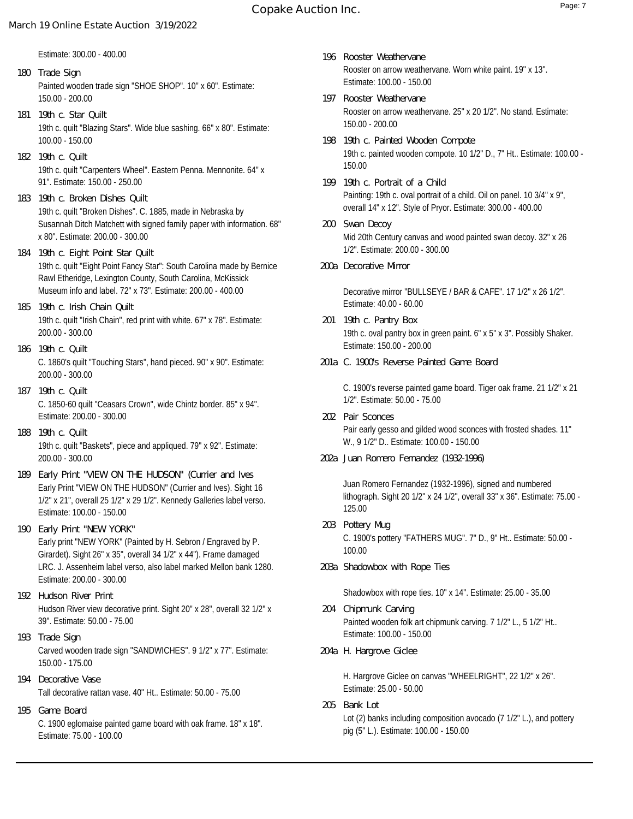Estimate: 300.00 - 400.00

- Painted wooden trade sign "SHOE SHOP". 10" x 60". Estimate: 150.00 - 200.00 **180 Trade Sign**
- 19th c. quilt "Blazing Stars". Wide blue sashing. 66" x 80". Estimate: 100.00 - 150.00 **181 19th c. Star Quilt**
- 19th c. quilt "Carpenters Wheel". Eastern Penna. Mennonite. 64" x 91". Estimate: 150.00 - 250.00 **182 19th c. Quilt**
- 19th c. quilt "Broken Dishes". C. 1885, made in Nebraska by Susannah Ditch Matchett with signed family paper with information. 68" x 80". Estimate: 200.00 - 300.00 **183 19th c. Broken Dishes Quilt**
- 19th c. quilt "Eight Point Fancy Star": South Carolina made by Bernice Rawl Etheridge, Lexington County, South Carolina, McKissick Museum info and label. 72" x 73". Estimate: 200.00 - 400.00 **184 19th c. Eight Point Star Quilt**
- 19th c. quilt "Irish Chain", red print with white. 67" x 78". Estimate: 200.00 - 300.00 **185 19th c. Irish Chain Quilt**
- C. 1860's quilt "Touching Stars", hand pieced. 90" x 90". Estimate: 200.00 - 300.00 **186 19th c. Quilt**
- C. 1850-60 quilt "Ceasars Crown", wide Chintz border. 85" x 94". Estimate: 200.00 - 300.00 **187 19th c. Quilt**
- 19th c. quilt "Baskets", piece and appliqued. 79" x 92". Estimate: 200.00 - 300.00 **188 19th c. Quilt**
- Early Print "VIEW ON THE HUDSON" (Currier and Ives). Sight 16 1/2" x 21", overall 25 1/2" x 29 1/2". Kennedy Galleries label verso. Estimate: 100.00 - 150.00 **189 Early Print "VIEW ON THE HUDSON" (Currier and Ives**
- Early print "NEW YORK" (Painted by H. Sebron / Engraved by P. Girardet). Sight 26" x 35", overall 34 1/2" x 44"). Frame damaged LRC. J. Assenheim label verso, also label marked Mellon bank 1280. Estimate: 200.00 - 300.00 **190 Early Print "NEW YORK"**
- Hudson River view decorative print. Sight 20" x 28", overall 32 1/2" x 39". Estimate: 50.00 - 75.00 **192 Hudson River Print**
- Carved wooden trade sign "SANDWICHES". 9 1/2" x 77". Estimate: 150.00 - 175.00 **193 Trade Sign**
- Tall decorative rattan vase. 40" Ht.. Estimate: 50.00 75.00 **194 Decorative Vase**
- **195 Game Board**

C. 1900 eglomaise painted game board with oak frame. 18" x 18". Estimate: 75.00 - 100.00

- Rooster on arrow weathervane. Worn white paint. 19" x 13". Estimate: 100.00 - 150.00 **196 Rooster Weathervane**
- Rooster on arrow weathervane. 25" x 20 1/2". No stand. Estimate: 150.00 - 200.00 **197 Rooster Weathervane**
- 19th c. painted wooden compote. 10 1/2" D., 7" Ht.. Estimate: 100.00 150.00 **198 19th c. Painted Wooden Compote**
- Painting: 19th c. oval portrait of a child. Oil on panel. 10 3/4" x 9", overall 14" x 12". Style of Pryor. Estimate: 300.00 - 400.00 **199 19th c. Portrait of a Child**
- Mid 20th Century canvas and wood painted swan decoy. 32" x 26 1/2". Estimate: 200.00 - 300.00 **200 Swan Decoy**
- **200a Decorative Mirror**

Decorative mirror "BULLSEYE / BAR & CAFE". 17 1/2" x 26 1/2". Estimate: 40.00 - 60.00

- 19th c. oval pantry box in green paint. 6" x 5" x 3". Possibly Shaker. Estimate: 150.00 - 200.00 **201 19th c. Pantry Box**
- **201a C. 1900's Reverse Painted Game Board**

C. 1900's reverse painted game board. Tiger oak frame. 21 1/2" x 21 1/2". Estimate: 50.00 - 75.00

- Pair early gesso and gilded wood sconces with frosted shades. 11" W., 9 1/2" D.. Estimate: 100.00 - 150.00 **202 Pair Sconces**
- **202a Juan Romero Fernandez (1932-1996)**

Juan Romero Fernandez (1932-1996), signed and numbered lithograph. Sight 20 1/2" x 24 1/2", overall 33" x 36". Estimate: 75.00 - 125.00

- C. 1900's pottery "FATHERS MUG". 7" D., 9" Ht.. Estimate: 50.00 100.00 **203 Pottery Mug**
- **203a Shadowbox with Rope Ties**

Shadowbox with rope ties. 10" x 14". Estimate: 25.00 - 35.00

- Painted wooden folk art chipmunk carving. 7 1/2" L., 5 1/2" Ht.. Estimate: 100.00 - 150.00 **204 Chipmunk Carving**
- **204a H. Hargrove Giclee**

H. Hargrove Giclee on canvas "WHEELRIGHT", 22 1/2" x 26". Estimate: 25.00 - 50.00

Lot (2) banks including composition avocado (7 1/2" L.), and pottery pig (5" L.). Estimate: 100.00 - 150.00 **205 Bank Lot**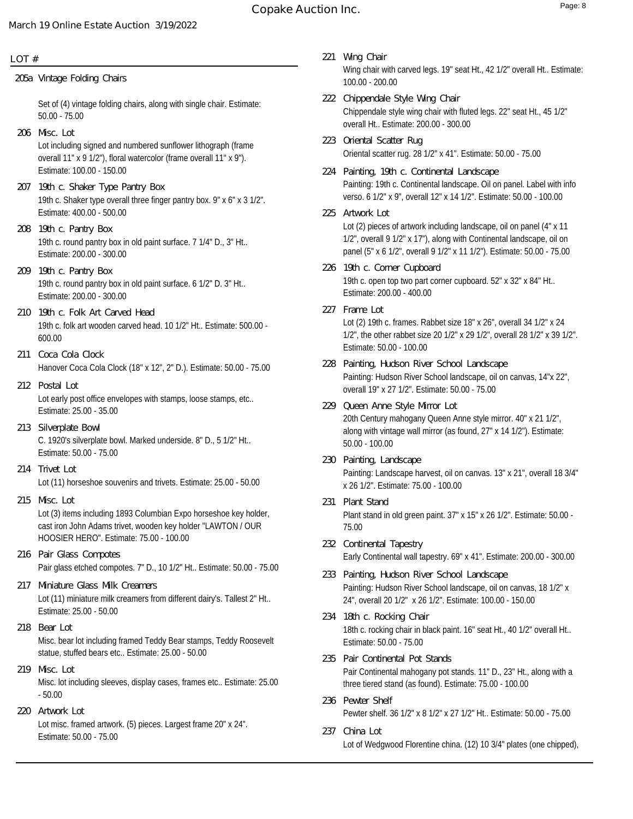#### **LOT #**

**205a Vintage Folding Chairs**

Set of (4) vintage folding chairs, along with single chair. Estimate: 50.00 - 75.00

- Lot including signed and numbered sunflower lithograph (frame overall 11" x 9 1/2"), floral watercolor (frame overall 11" x 9"). Estimate: 100.00 - 150.00 **206 Misc. Lot**
- 19th c. Shaker type overall three finger pantry box. 9" x 6" x 3 1/2". Estimate: 400.00 - 500.00 **207 19th c. Shaker Type Pantry Box**
- 19th c. round pantry box in old paint surface. 7 1/4" D., 3" Ht.. Estimate: 200.00 - 300.00 **208 19th c. Pantry Box**
- 19th c. round pantry box in old paint surface. 6 1/2" D. 3" Ht.. Estimate: 200.00 - 300.00 **209 19th c. Pantry Box**
- 19th c. folk art wooden carved head. 10 1/2" Ht.. Estimate: 500.00 600.00 **210 19th c. Folk Art Carved Head**
- Hanover Coca Cola Clock (18" x 12", 2" D.). Estimate: 50.00 75.00 **211 Coca Cola Clock**
- Lot early post office envelopes with stamps, loose stamps, etc.. Estimate: 25.00 - 35.00 **212 Postal Lot**
- C. 1920's silverplate bowl. Marked underside. 8" D., 5 1/2" Ht.. Estimate: 50.00 - 75.00 **213 Silverplate Bowl**
- Lot (11) horseshoe souvenirs and trivets. Estimate: 25.00 50.00 **214 Trivet Lot**
- Lot (3) items including 1893 Columbian Expo horseshoe key holder, cast iron John Adams trivet, wooden key holder "LAWTON / OUR HOOSIER HERO". Estimate: 75.00 - 100.00 **215 Misc. Lot**
- Pair glass etched compotes. 7" D., 10 1/2" Ht.. Estimate: 50.00 75.00 **216 Pair Glass Compotes**
- Lot (11) miniature milk creamers from different dairy's. Tallest 2" Ht.. Estimate: 25.00 - 50.00 **217 Miniature Glass Milk Creamers**
- Misc. bear lot including framed Teddy Bear stamps, Teddy Roosevelt statue, stuffed bears etc.. Estimate: 25.00 - 50.00 **218 Bear Lot**
- Misc. lot including sleeves, display cases, frames etc.. Estimate: 25.00 - 50.00 **219 Misc. Lot**
- Lot misc. framed artwork. (5) pieces. Largest frame 20" x 24". Estimate: 50.00 - 75.00 **220 Artwork Lot**
- Wing chair with carved legs. 19" seat Ht., 42 1/2" overall Ht.. Estimate: 100.00 - 200.00 **221 Wing Chair**
- Chippendale style wing chair with fluted legs. 22" seat Ht., 45 1/2" overall Ht.. Estimate: 200.00 - 300.00 **222 Chippendale Style Wing Chair**
- Oriental scatter rug. 28 1/2" x 41". Estimate: 50.00 75.00 **223 Oriental Scatter Rug**
- Painting: 19th c. Continental landscape. Oil on panel. Label with info verso. 6 1/2" x 9", overall 12" x 14 1/2". Estimate: 50.00 - 100.00 **224 Painting, 19th c. Continental Landscape**
- Lot (2) pieces of artwork including landscape, oil on panel (4" x 11 1/2", overall 9 1/2" x 17"), along with Continental landscape, oil on panel (5" x 6 1/2", overall 9 1/2" x 11 1/2"). Estimate: 50.00 - 75.00 **225 Artwork Lot**
- 19th c. open top two part corner cupboard. 52" x 32" x 84" Ht.. Estimate: 200.00 - 400.00 **226 19th c. Corner Cupboard**
- Lot (2) 19th c. frames. Rabbet size 18" x 26", overall 34 1/2" x 24 1/2", the other rabbet size 20 1/2" x 29 1/2", overall 28 1/2" x 39 1/2". Estimate: 50.00 - 100.00 **227 Frame Lot**
- Painting: Hudson River School landscape, oil on canvas, 14"x 22", overall 19" x 27 1/2". Estimate: 50.00 - 75.00 **228 Painting, Hudson River School Landscape**
- 20th Century mahogany Queen Anne style mirror. 40" x 21 1/2", along with vintage wall mirror (as found, 27" x 14 1/2"). Estimate: 50.00 - 100.00 **229 Queen Anne Style Mirror Lot**
- Painting: Landscape harvest, oil on canvas. 13" x 21", overall 18 3/4" x 26 1/2". Estimate: 75.00 - 100.00 **230 Painting, Landscape**
- Plant stand in old green paint. 37" x 15" x 26 1/2". Estimate: 50.00 75.00 **231 Plant Stand**
- Early Continental wall tapestry. 69" x 41". Estimate: 200.00 300.00 **232 Continental Tapestry**
- Painting: Hudson River School landscape, oil on canvas, 18 1/2" x 24", overall 20 1/2" x 26 1/2". Estimate: 100.00 - 150.00 **233 Painting, Hudson River School Landscape**
- 18th c. rocking chair in black paint. 16" seat Ht., 40 1/2" overall Ht.. Estimate: 50.00 - 75.00 **234 18th c. Rocking Chair**
- Pair Continental mahogany pot stands. 11" D., 23" Ht., along with a three tiered stand (as found). Estimate: 75.00 - 100.00 **235 Pair Continental Pot Stands**
- Pewter shelf. 36 1/2" x 8 1/2" x 27 1/2" Ht.. Estimate: 50.00 75.00 **236 Pewter Shelf**
- Lot of Wedgwood Florentine china. (12) 10 3/4" plates (one chipped), **237 China Lot**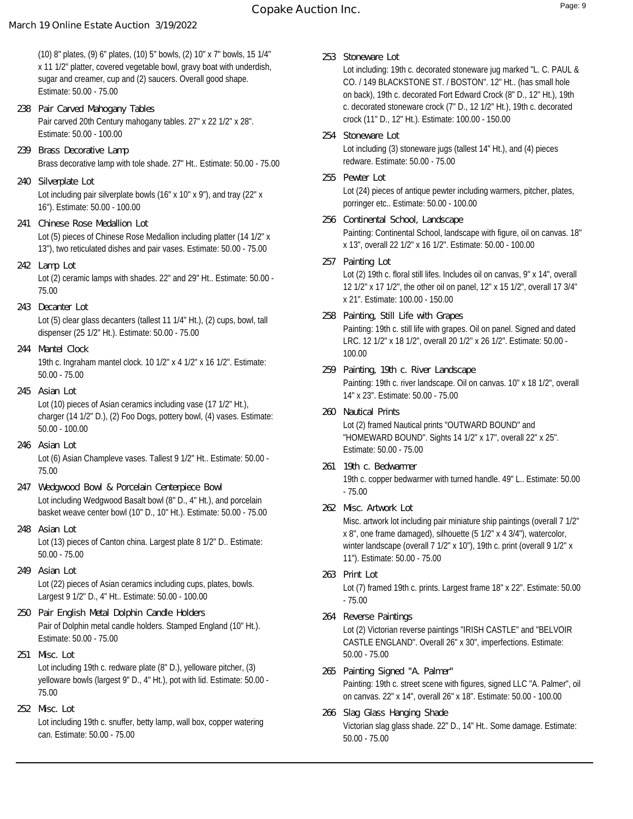# **Copake Auction Inc.** Page: 9

## **March 19 Online Estate Auction 3/19/2022**

(10) 8" plates, (9) 6" plates, (10) 5" bowls, (2) 10" x 7" bowls, 15 1/4" x 11 1/2" platter, covered vegetable bowl, gravy boat with underdish, sugar and creamer, cup and (2) saucers. Overall good shape. Estimate: 50.00 - 75.00

- Pair carved 20th Century mahogany tables. 27" x 22 1/2" x 28". Estimate: 50.00 - 100.00 **238 Pair Carved Mahogany Tables**
- Brass decorative lamp with tole shade. 27" Ht.. Estimate: 50.00 75.00 **239 Brass Decorative Lamp**
- Lot including pair silverplate bowls (16" x 10" x 9"), and tray (22" x 16"). Estimate: 50.00 - 100.00 **240 Silverplate Lot**
- Lot (5) pieces of Chinese Rose Medallion including platter (14 1/2" x 13"), two reticulated dishes and pair vases. Estimate: 50.00 - 75.00 **241 Chinese Rose Medallion Lot**
- Lot (2) ceramic lamps with shades. 22" and 29" Ht.. Estimate: 50.00 75.00 **242 Lamp Lot**
- Lot (5) clear glass decanters (tallest 11 1/4" Ht.), (2) cups, bowl, tall dispenser (25 1/2" Ht.). Estimate: 50.00 - 75.00 **243 Decanter Lot**
- 19th c. Ingraham mantel clock. 10 1/2" x 4 1/2" x 16 1/2". Estimate: 50.00 - 75.00 **244 Mantel Clock**
- Lot (10) pieces of Asian ceramics including vase (17 1/2" Ht.), charger (14 1/2" D.), (2) Foo Dogs, pottery bowl, (4) vases. Estimate: 50.00 - 100.00 **245 Asian Lot**
- Lot (6) Asian Champleve vases. Tallest 9 1/2" Ht.. Estimate: 50.00 75.00 **246 Asian Lot**
- Lot including Wedgwood Basalt bowl (8" D., 4" Ht.), and porcelain basket weave center bowl (10" D., 10" Ht.). Estimate: 50.00 - 75.00 **247 Wedgwood Bowl & Porcelain Centerpiece Bowl**
- Lot (13) pieces of Canton china. Largest plate 8 1/2" D.. Estimate: 50.00 - 75.00 **248 Asian Lot**
- Lot (22) pieces of Asian ceramics including cups, plates, bowls. Largest 9 1/2" D., 4" Ht.. Estimate: 50.00 - 100.00 **249 Asian Lot**
- Pair of Dolphin metal candle holders. Stamped England (10" Ht.). Estimate: 50.00 - 75.00 **250 Pair English Metal Dolphin Candle Holders**
- Lot including 19th c. redware plate (8" D.), yelloware pitcher, (3) yelloware bowls (largest 9" D., 4" Ht.), pot with lid. Estimate: 50.00 - 75.00 **251 Misc. Lot**
- Lot including 19th c. snuffer, betty lamp, wall box, copper watering can. Estimate: 50.00 - 75.00 **252 Misc. Lot**

**253 Stoneware Lot**

Lot including: 19th c. decorated stoneware jug marked "L. C. PAUL & CO. / 149 BLACKSTONE ST. / BOSTON". 12" Ht.. (has small hole on back), 19th c. decorated Fort Edward Crock (8" D., 12" Ht.), 19th c. decorated stoneware crock (7" D., 12 1/2" Ht.), 19th c. decorated crock (11" D., 12" Ht.). Estimate: 100.00 - 150.00

- Lot including (3) stoneware jugs (tallest 14" Ht.), and (4) pieces redware. Estimate: 50.00 - 75.00 **254 Stoneware Lot**
- Lot (24) pieces of antique pewter including warmers, pitcher, plates, porringer etc.. Estimate: 50.00 - 100.00 **255 Pewter Lot**
- Painting: Continental School, landscape with figure, oil on canvas. 18" x 13", overall 22 1/2" x 16 1/2". Estimate: 50.00 - 100.00 **256 Continental School, Landscape**
- Lot (2) 19th c. floral still lifes. Includes oil on canvas, 9" x 14", overall 12 1/2" x 17 1/2", the other oil on panel, 12" x 15 1/2", overall 17 3/4" x 21". Estimate: 100.00 - 150.00 **257 Painting Lot**
- Painting: 19th c. still life with grapes. Oil on panel. Signed and dated LRC. 12 1/2" x 18 1/2", overall 20 1/2" x 26 1/2". Estimate: 50.00 - 100.00 **258 Painting, Still Life with Grapes**
- Painting: 19th c. river landscape. Oil on canvas. 10" x 18 1/2", overall 14" x 23". Estimate: 50.00 - 75.00 **259 Painting, 19th c. River Landscape**
- Lot (2) framed Nautical prints "OUTWARD BOUND" and "HOMEWARD BOUND". Sights 14 1/2" x 17", overall 22" x 25". Estimate: 50.00 - 75.00 **260 Nautical Prints**
- 19th c. copper bedwarmer with turned handle. 49" L.. Estimate: 50.00 - 75.00 **261 19th c. Bedwarmer**
- **262 Misc. Artwork Lot**

Misc. artwork lot including pair miniature ship paintings (overall 7 1/2" x 8", one frame damaged), silhouette (5 1/2" x 4 3/4"), watercolor, winter landscape (overall 7 1/2" x 10"), 19th c. print (overall 9 1/2" x 11"). Estimate: 50.00 - 75.00

- Lot (7) framed 19th c. prints. Largest frame 18" x 22". Estimate: 50.00 - 75.00 **263 Print Lot**
- Lot (2) Victorian reverse paintings "IRISH CASTLE" and "BELVOIR CASTLE ENGLAND". Overall 26" x 30", imperfections. Estimate: 50.00 - 75.00 **264 Reverse Paintings**
- Painting: 19th c. street scene with figures, signed LLC "A. Palmer", oil on canvas. 22" x 14", overall 26" x 18". Estimate: 50.00 - 100.00 **265 Painting Signed "A. Palmer"**
- Victorian slag glass shade. 22" D., 14" Ht.. Some damage. Estimate: 50.00 - 75.00 **266 Slag Glass Hanging Shade**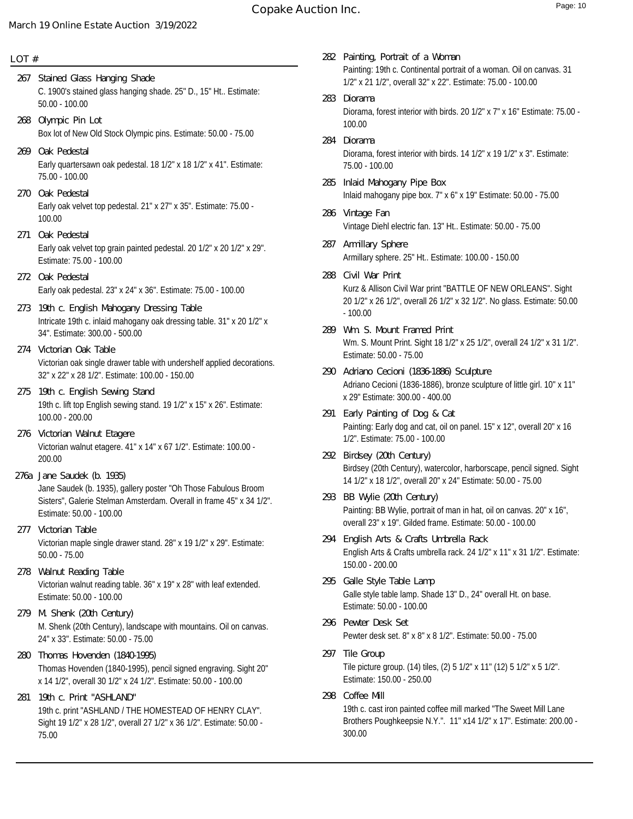# **Copake Auction Inc. Copake Auction Inc.**

### **March 19 Online Estate Auction 3/19/2022**

# **LOT #**

- C. 1900's stained glass hanging shade. 25" D., 15" Ht.. Estimate: 50.00 - 100.00 **267 Stained Glass Hanging Shade**
- Box lot of New Old Stock Olympic pins. Estimate: 50.00 75.00 **268 Olympic Pin Lot**
- Early quartersawn oak pedestal. 18 1/2" x 18 1/2" x 41". Estimate: 75.00 - 100.00 **269 Oak Pedestal**
- Early oak velvet top pedestal. 21" x 27" x 35". Estimate: 75.00 100.00 **270 Oak Pedestal**
- Early oak velvet top grain painted pedestal. 20 1/2" x 20 1/2" x 29". Estimate: 75.00 - 100.00 **271 Oak Pedestal**
- Early oak pedestal. 23" x 24" x 36". Estimate: 75.00 100.00 **272 Oak Pedestal**
- Intricate 19th c. inlaid mahogany oak dressing table. 31" x 20 1/2" x 34". Estimate: 300.00 - 500.00 **273 19th c. English Mahogany Dressing Table**
- Victorian oak single drawer table with undershelf applied decorations. 32" x 22" x 28 1/2". Estimate: 100.00 - 150.00 **274 Victorian Oak Table**
- 19th c. lift top English sewing stand. 19 1/2" x 15" x 26". Estimate: 100.00 - 200.00 **275 19th c. English Sewing Stand**
- Victorian walnut etagere. 41" x 14" x 67 1/2". Estimate: 100.00 200.00 **276 Victorian Walnut Etagere**
- Jane Saudek (b. 1935), gallery poster "Oh Those Fabulous Broom Sisters", Galerie Stelman Amsterdam. Overall in frame 45" x 34 1/2". Estimate: 50.00 - 100.00 **276a Jane Saudek (b. 1935)**
- Victorian maple single drawer stand. 28" x 19 1/2" x 29". Estimate: 50.00 - 75.00 **277 Victorian Table**
- Victorian walnut reading table. 36" x 19" x 28" with leaf extended. Estimate: 50.00 - 100.00 **278 Walnut Reading Table**
- M. Shenk (20th Century), landscape with mountains. Oil on canvas. 24" x 33". Estimate: 50.00 - 75.00 **279 M. Shenk (20th Century)**
- Thomas Hovenden (1840-1995), pencil signed engraving. Sight 20" x 14 1/2", overall 30 1/2" x 24 1/2". Estimate: 50.00 - 100.00 **280 Thomas Hovenden (1840-1995)**
- 19th c. print "ASHLAND / THE HOMESTEAD OF HENRY CLAY". Sight 19 1/2" x 28 1/2", overall 27 1/2" x 36 1/2". Estimate: 50.00 - 75.00 **281 19th c. Print "ASHLAND"**
- Painting: 19th c. Continental portrait of a woman. Oil on canvas. 31 1/2" x 21 1/2", overall 32" x 22". Estimate: 75.00 - 100.00 **282 Painting, Portrait of a Woman**
- Diorama, forest interior with birds. 20 1/2" x 7" x 16" Estimate: 75.00 100.00 **283 Diorama**
- Diorama, forest interior with birds. 14 1/2" x 19 1/2" x 3". Estimate: 75.00 - 100.00 **284 Diorama**
- Inlaid mahogany pipe box. 7" x 6" x 19" Estimate: 50.00 75.00 **285 Inlaid Mahogany Pipe Box**
- Vintage Diehl electric fan. 13" Ht.. Estimate: 50.00 75.00 **286 Vintage Fan**
- Armillary sphere. 25" Ht.. Estimate: 100.00 150.00 **287 Armillary Sphere**
- Kurz & Allison Civil War print "BATTLE OF NEW ORLEANS". Sight 20 1/2" x 26 1/2", overall 26 1/2" x 32 1/2". No glass. Estimate: 50.00 - 100.00 **288 Civil War Print**
- Wm. S. Mount Print. Sight 18 1/2" x 25 1/2", overall 24 1/2" x 31 1/2". Estimate: 50.00 - 75.00 **289 Wm. S. Mount Framed Print**
- Adriano Cecioni (1836-1886), bronze sculpture of little girl. 10" x 11" x 29" Estimate: 300.00 - 400.00 **290 Adriano Cecioni (1836-1886) Sculpture**
- Painting: Early dog and cat, oil on panel. 15" x 12", overall 20" x 16 1/2". Estimate: 75.00 - 100.00 **291 Early Painting of Dog & Cat**
- Birdsey (20th Century), watercolor, harborscape, pencil signed. Sight 14 1/2" x 18 1/2", overall 20" x 24" Estimate: 50.00 - 75.00 **292 Birdsey (20th Century)**
- Painting: BB Wylie, portrait of man in hat, oil on canvas. 20" x 16", overall 23" x 19". Gilded frame. Estimate: 50.00 - 100.00 **293 BB Wylie (20th Century)**
- English Arts & Crafts umbrella rack. 24 1/2" x 11" x 31 1/2". Estimate: 150.00 - 200.00 **294 English Arts & Crafts Umbrella Rack**
- Galle style table lamp. Shade 13" D., 24" overall Ht. on base. Estimate: 50.00 - 100.00 **295 Galle Style Table Lamp**
- Pewter desk set. 8" x 8" x 8 1/2". Estimate: 50.00 75.00 **296 Pewter Desk Set**
- Tile picture group. (14) tiles, (2) 5 1/2" x 11" (12) 5 1/2" x 5 1/2". Estimate: 150.00 - 250.00 **297 Tile Group**
- 19th c. cast iron painted coffee mill marked "The Sweet Mill Lane Brothers Poughkeepsie N.Y.". 11" x14 1/2" x 17". Estimate: 200.00 - 300.00 **298 Coffee Mill**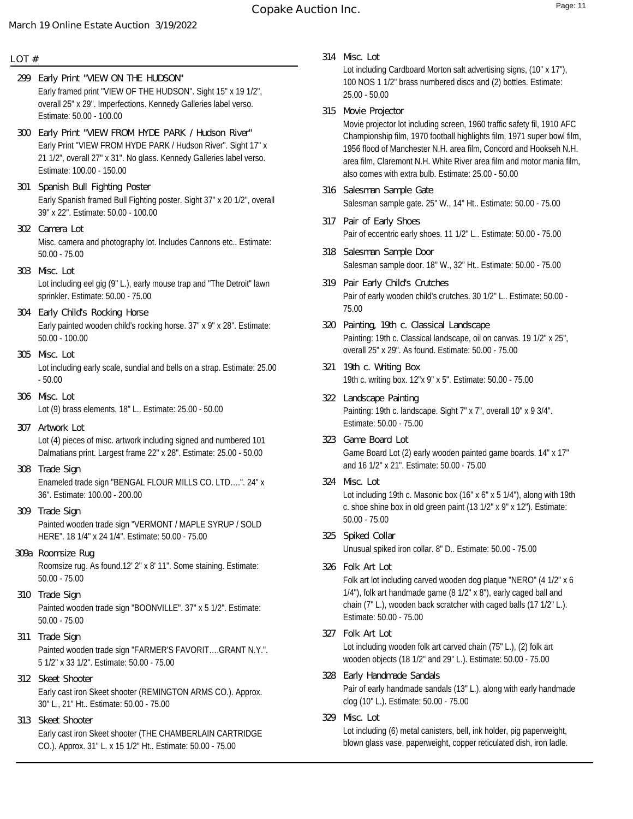### **LOT #**

- Early framed print "VIEW OF THE HUDSON". Sight 15" x 19 1/2", overall 25" x 29". Imperfections. Kennedy Galleries label verso. Estimate: 50.00 - 100.00 **299 Early Print "VIEW ON THE HUDSON"**
- Early Print "VIEW FROM HYDE PARK / Hudson River". Sight 17" x 21 1/2", overall 27" x 31". No glass. Kennedy Galleries label verso. Estimate: 100.00 - 150.00 **300 Early Print "VIEW FROM HYDE PARK / Hudson River"**
- Early Spanish framed Bull Fighting poster. Sight 37" x 20 1/2", overall 39" x 22". Estimate: 50.00 - 100.00 **301 Spanish Bull Fighting Poster**
- Misc. camera and photography lot. Includes Cannons etc.. Estimate: 50.00 - 75.00 **302 Camera Lot**
- Lot including eel gig (9" L.), early mouse trap and "The Detroit" lawn sprinkler. Estimate: 50.00 - 75.00 **303 Misc. Lot**
- Early painted wooden child's rocking horse. 37" x 9" x 28". Estimate: 50.00 - 100.00 **304 Early Child's Rocking Horse**
- Lot including early scale, sundial and bells on a strap. Estimate: 25.00 - 50.00 **305 Misc. Lot**
- Lot (9) brass elements. 18" L.. Estimate: 25.00 50.00 **306 Misc. Lot**
- Lot (4) pieces of misc. artwork including signed and numbered 101 Dalmatians print. Largest frame 22" x 28". Estimate: 25.00 - 50.00 **307 Artwork Lot**
- Enameled trade sign "BENGAL FLOUR MILLS CO. LTD….". 24" x 36". Estimate: 100.00 - 200.00 **308 Trade Sign**
- Painted wooden trade sign "VERMONT / MAPLE SYRUP / SOLD HERE". 18 1/4" x 24 1/4". Estimate: 50.00 - 75.00 **309 Trade Sign**
- Roomsize rug. As found.12' 2" x 8' 11". Some staining. Estimate: 50.00 - 75.00 **309a Roomsize Rug**
- Painted wooden trade sign "BOONVILLE". 37" x 5 1/2". Estimate: 50.00 - 75.00 **310 Trade Sign**
- Painted wooden trade sign "FARMER'S FAVORIT….GRANT N.Y.". 5 1/2" x 33 1/2". Estimate: 50.00 - 75.00 **311 Trade Sign**
- Early cast iron Skeet shooter (REMINGTON ARMS CO.). Approx. 30" L., 21" Ht.. Estimate: 50.00 - 75.00 **312 Skeet Shooter**
- Early cast iron Skeet shooter (THE CHAMBERLAIN CARTRIDGE CO.). Approx. 31" L. x 15 1/2" Ht.. Estimate: 50.00 - 75.00 **313 Skeet Shooter**

**314 Misc. Lot**

Lot including Cardboard Morton salt advertising signs, (10" x 17"), 100 NOS 1 1/2" brass numbered discs and (2) bottles. Estimate: 25.00 - 50.00

**315 Movie Projector**

Movie projector lot including screen, 1960 traffic safety fil, 1910 AFC Championship film, 1970 football highlights film, 1971 super bowl film, 1956 flood of Manchester N.H. area film, Concord and Hookseh N.H. area film, Claremont N.H. White River area film and motor mania film, also comes with extra bulb. Estimate: 25.00 - 50.00

- Salesman sample gate. 25" W., 14" Ht.. Estimate: 50.00 75.00 **316 Salesman Sample Gate**
- Pair of eccentric early shoes. 11 1/2" L.. Estimate: 50.00 75.00 **317 Pair of Early Shoes**
- Salesman sample door. 18" W., 32" Ht.. Estimate: 50.00 75.00 **318 Salesman Sample Door**
- Pair of early wooden child's crutches. 30 1/2" L.. Estimate: 50.00 75.00 **319 Pair Early Child's Crutches**
- Painting: 19th c. Classical landscape, oil on canvas. 19 1/2" x 25", overall 25" x 29". As found. Estimate: 50.00 - 75.00 **320 Painting, 19th c. Classical Landscape**
- 19th c. writing box. 12"x 9" x 5". Estimate: 50.00 75.00 **321 19th c. Writing Box**
- Painting: 19th c. landscape. Sight 7" x 7", overall 10" x 9 3/4". Estimate: 50.00 - 75.00 **322 Landscape Painting**
- Game Board Lot (2) early wooden painted game boards. 14" x 17" and 16 1/2" x 21". Estimate: 50.00 - 75.00 **323 Game Board Lot**
- Lot including 19th c. Masonic box (16" x 6" x 5 1/4"), along with 19th c. shoe shine box in old green paint (13 1/2" x 9" x 12"). Estimate: 50.00 - 75.00 **324 Misc. Lot**
- Unusual spiked iron collar. 8" D.. Estimate: 50.00 75.00 **325 Spiked Collar**
- Folk art lot including carved wooden dog plaque "NERO" (4 1/2" x 6 1/4"), folk art handmade game (8 1/2" x 8"), early caged ball and chain (7" L.), wooden back scratcher with caged balls (17 1/2" L.). Estimate: 50.00 - 75.00 **326 Folk Art Lot**
- Lot including wooden folk art carved chain (75" L.), (2) folk art wooden objects (18 1/2" and 29" L.). Estimate: 50.00 - 75.00 **327 Folk Art Lot**
- Pair of early handmade sandals (13" L.), along with early handmade clog (10" L.). Estimate: 50.00 - 75.00 **328 Early Handmade Sandals**
- Lot including (6) metal canisters, bell, ink holder, pig paperweight, blown glass vase, paperweight, copper reticulated dish, iron ladle. **329 Misc. Lot**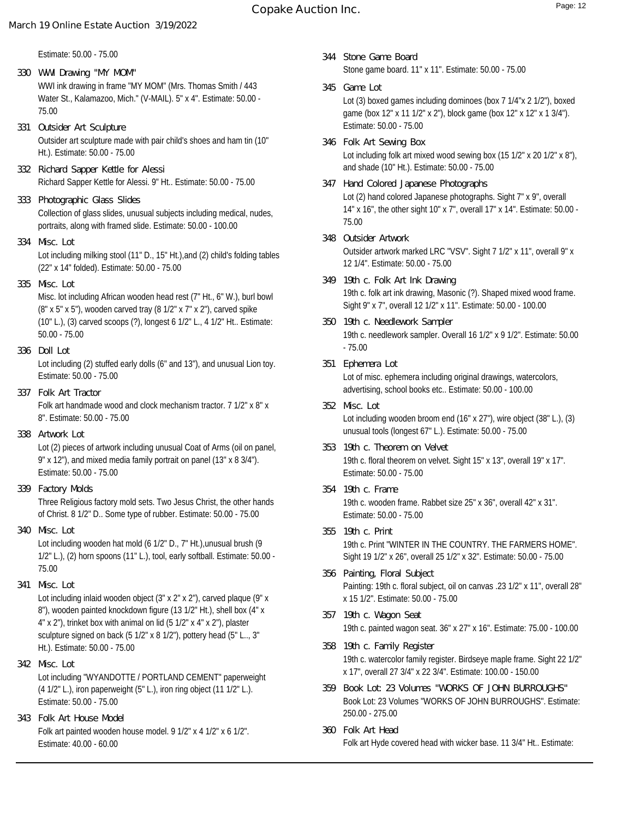Estimate: 50.00 - 75.00

- WWI ink drawing in frame "MY MOM" (Mrs. Thomas Smith / 443 Water St., Kalamazoo, Mich." (V-MAIL). 5" x 4". Estimate: 50.00 - 75.00 **330 WWI Drawing "MY MOM"**
- Outsider art sculpture made with pair child's shoes and ham tin (10" Ht.). Estimate: 50.00 - 75.00 **331 Outsider Art Sculpture**
- Richard Sapper Kettle for Alessi. 9" Ht.. Estimate: 50.00 75.00 **332 Richard Sapper Kettle for Alessi**
- Collection of glass slides, unusual subjects including medical, nudes, portraits, along with framed slide. Estimate: 50.00 - 100.00 **333 Photographic Glass Slides**
- Lot including milking stool (11" D., 15" Ht.),and (2) child's folding tables (22" x 14" folded). Estimate: 50.00 - 75.00 **334 Misc. Lot**
- **335 Misc. Lot**

Misc. lot including African wooden head rest (7" Ht., 6" W.), burl bowl (8" x 5" x 5"), wooden carved tray (8 1/2" x 7" x 2"), carved spike (10" L.), (3) carved scoops (?), longest 6 1/2" L., 4 1/2" Ht.. Estimate: 50.00 - 75.00

**336 Doll Lot**

Lot including (2) stuffed early dolls (6" and 13"), and unusual Lion toy. Estimate: 50.00 - 75.00

- Folk art handmade wood and clock mechanism tractor. 7 1/2" x 8" x 8". Estimate: 50.00 - 75.00 **337 Folk Art Tractor**
- **338 Artwork Lot**

Lot (2) pieces of artwork including unusual Coat of Arms (oil on panel, 9" x 12"), and mixed media family portrait on panel (13" x 8 3/4"). Estimate: 50.00 - 75.00

**339 Factory Molds**

Three Religious factory mold sets. Two Jesus Christ, the other hands of Christ. 8 1/2" D.. Some type of rubber. Estimate: 50.00 - 75.00

**340 Misc. Lot**

Lot including wooden hat mold (6 1/2" D., 7" Ht.),unusual brush (9 1/2" L.), (2) horn spoons (11" L.), tool, early softball. Estimate: 50.00 - 75.00

**341 Misc. Lot**

Lot including inlaid wooden object (3" x 2" x 2"), carved plaque (9" x 8"), wooden painted knockdown figure (13 1/2" Ht.), shell box (4" x 4" x 2"), trinket box with animal on lid (5 1/2" x 4" x 2"), plaster sculpture signed on back (5 1/2" x 8 1/2"), pottery head (5" L.., 3" Ht.). Estimate: 50.00 - 75.00

- Lot including "WYANDOTTE / PORTLAND CEMENT" paperweight (4 1/2" L.), iron paperweight (5" L.), iron ring object (11 1/2" L.). Estimate: 50.00 - 75.00 **342 Misc. Lot**
- Folk art painted wooden house model. 9 1/2" x 4 1/2" x 6 1/2". Estimate: 40.00 - 60.00 **343 Folk Art House Model**
- Stone game board. 11" x 11". Estimate: 50.00 75.00 **344 Stone Game Board**
- Lot (3) boxed games including dominoes (box 7 1/4"x 2 1/2"), boxed game (box 12" x 11 1/2" x 2"), block game (box 12" x 12" x 1 3/4"). Estimate: 50.00 - 75.00 **345 Game Lot**
- Lot including folk art mixed wood sewing box (15 1/2" x 20 1/2" x 8"), and shade (10" Ht.). Estimate: 50.00 - 75.00 **346 Folk Art Sewing Box**
- Lot (2) hand colored Japanese photographs. Sight 7" x 9", overall 14" x 16", the other sight 10" x 7", overall 17" x 14". Estimate: 50.00 - 75.00 **347 Hand Colored Japanese Photographs**
- Outsider artwork marked LRC "VSV". Sight 7 1/2" x 11", overall 9" x 12 1/4". Estimate: 50.00 - 75.00 **348 Outsider Artwork**
- 19th c. folk art ink drawing, Masonic (?). Shaped mixed wood frame. Sight 9" x 7", overall 12 1/2" x 11". Estimate: 50.00 - 100.00 **349 19th c. Folk Art Ink Drawing**
- 19th c. needlework sampler. Overall 16 1/2" x 9 1/2". Estimate: 50.00 - 75.00 **350 19th c. Needlework Sampler**
- Lot of misc. ephemera including original drawings, watercolors, advertising, school books etc.. Estimate: 50.00 - 100.00 **351 Ephemera Lot**
- Lot including wooden broom end (16" x 27"), wire object (38" L.), (3) unusual tools (longest 67" L.). Estimate: 50.00 - 75.00 **352 Misc. Lot**
- 19th c. floral theorem on velvet. Sight 15" x 13", overall 19" x 17". Estimate: 50.00 - 75.00 **353 19th c. Theorem on Velvet**
- 19th c. wooden frame. Rabbet size 25" x 36", overall 42" x 31". Estimate: 50.00 - 75.00 **354 19th c. Frame**
- 19th c. Print "WINTER IN THE COUNTRY. THE FARMERS HOME". Sight 19 1/2" x 26", overall 25 1/2" x 32". Estimate: 50.00 - 75.00 **355 19th c. Print**
- Painting: 19th c. floral subject, oil on canvas .23 1/2" x 11", overall 28" x 15 1/2". Estimate: 50.00 - 75.00 **356 Painting, Floral Subject**
- 19th c. painted wagon seat. 36" x 27" x 16". Estimate: 75.00 100.00 **357 19th c. Wagon Seat**
- 19th c. watercolor family register. Birdseye maple frame. Sight 22 1/2" x 17", overall 27 3/4" x 22 3/4". Estimate: 100.00 - 150.00 **358 19th c. Family Register**
- Book Lot: 23 Volumes "WORKS OF JOHN BURROUGHS". Estimate: 250.00 - 275.00 **359 Book Lot: 23 Volumes "WORKS OF JOHN BURROUGHS"**
- Folk art Hyde covered head with wicker base. 11 3/4" Ht.. Estimate: **360 Folk Art Head**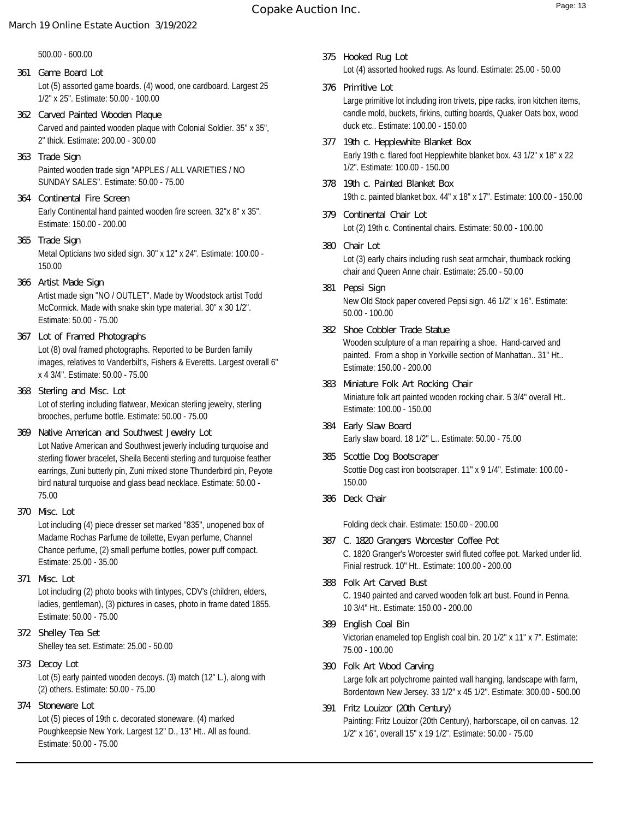500.00 - 600.00

- Lot (5) assorted game boards. (4) wood, one cardboard. Largest 25 1/2" x 25". Estimate: 50.00 - 100.00 **361 Game Board Lot**
- Carved and painted wooden plaque with Colonial Soldier. 35" x 35", 2" thick. Estimate: 200.00 - 300.00 **362 Carved Painted Wooden Plaque**
- Painted wooden trade sign "APPLES / ALL VARIETIES / NO SUNDAY SALES". Estimate: 50.00 - 75.00 **363 Trade Sign**
- Early Continental hand painted wooden fire screen. 32"x 8" x 35". Estimate: 150.00 - 200.00 **364 Continental Fire Screen**
- Metal Opticians two sided sign. 30" x 12" x 24". Estimate: 100.00 150.00 **365 Trade Sign**
- Artist made sign "NO / OUTLET". Made by Woodstock artist Todd McCormick. Made with snake skin type material. 30" x 30 1/2". Estimate: 50.00 - 75.00 **366 Artist Made Sign**
- Lot (8) oval framed photographs. Reported to be Burden family images, relatives to Vanderbilt's, Fishers & Everetts. Largest overall 6" x 4 3/4". Estimate: 50.00 - 75.00 **367 Lot of Framed Photographs**
- Lot of sterling including flatwear, Mexican sterling jewelry, sterling brooches, perfume bottle. Estimate: 50.00 - 75.00 **368 Sterling and Misc. Lot**
- Lot Native American and Southwest jewerly including turquoise and sterling flower bracelet, Sheila Becenti sterling and turquoise feather earrings, Zuni butterly pin, Zuni mixed stone Thunderbird pin, Peyote bird natural turquoise and glass bead necklace. Estimate: 50.00 - 75.00 **369 Native American and Southwest Jewelry Lot**
- Lot including (4) piece dresser set marked "835", unopened box of Madame Rochas Parfume de toilette, Evyan perfume, Channel Chance perfume, (2) small perfume bottles, power puff compact. Estimate: 25.00 - 35.00 **370 Misc. Lot**
- Lot including (2) photo books with tintypes, CDV's (children, elders, ladies, gentleman), (3) pictures in cases, photo in frame dated 1855. Estimate: 50.00 - 75.00 **371 Misc. Lot**
- Shelley tea set. Estimate: 25.00 50.00 **372 Shelley Tea Set**
- Lot (5) early painted wooden decoys. (3) match (12" L.), along with (2) others. Estimate: 50.00 - 75.00 **373 Decoy Lot**
- **374 Stoneware Lot**

Lot (5) pieces of 19th c. decorated stoneware. (4) marked Poughkeepsie New York. Largest 12" D., 13" Ht.. All as found. Estimate: 50.00 - 75.00

- Lot (4) assorted hooked rugs. As found. Estimate: 25.00 50.00 **375 Hooked Rug Lot**
- Large primitive lot including iron trivets, pipe racks, iron kitchen items, candle mold, buckets, firkins, cutting boards, Quaker Oats box, wood duck etc.. Estimate: 100.00 - 150.00 **376 Primitive Lot**
- Early 19th c. flared foot Hepplewhite blanket box. 43 1/2" x 18" x 22 1/2". Estimate: 100.00 - 150.00 **377 19th c. Hepplewhite Blanket Box**
- 19th c. painted blanket box. 44" x 18" x 17". Estimate: 100.00 150.00 **378 19th c. Painted Blanket Box**
- Lot (2) 19th c. Continental chairs. Estimate: 50.00 100.00 **379 Continental Chair Lot**
- Lot (3) early chairs including rush seat armchair, thumback rocking chair and Queen Anne chair. Estimate: 25.00 - 50.00 **380 Chair Lot**
- New Old Stock paper covered Pepsi sign. 46 1/2" x 16". Estimate: 50.00 - 100.00 **381 Pepsi Sign**
- Wooden sculpture of a man repairing a shoe. Hand-carved and painted. From a shop in Yorkville section of Manhattan.. 31" Ht.. Estimate: 150.00 - 200.00 **382 Shoe Cobbler Trade Statue**
- Miniature folk art painted wooden rocking chair. 5 3/4" overall Ht.. Estimate: 100.00 - 150.00 **383 Miniature Folk Art Rocking Chair**
- Early slaw board. 18 1/2" L.. Estimate: 50.00 75.00 **384 Early Slaw Board**
- Scottie Dog cast iron bootscraper. 11" x 9 1/4". Estimate: 100.00 150.00 **385 Scottie Dog Bootscraper**
- **386 Deck Chair**

Folding deck chair. Estimate: 150.00 - 200.00

- C. 1820 Granger's Worcester swirl fluted coffee pot. Marked under lid. Finial restruck. 10" Ht.. Estimate: 100.00 - 200.00 **387 C. 1820 Grangers Worcester Coffee Pot**
- C. 1940 painted and carved wooden folk art bust. Found in Penna. 10 3/4" Ht.. Estimate: 150.00 - 200.00 **388 Folk Art Carved Bust**
- Victorian enameled top English coal bin. 20 1/2" x 11" x 7". Estimate: 75.00 - 100.00 **389 English Coal Bin**
- Large folk art polychrome painted wall hanging, landscape with farm, Bordentown New Jersey. 33 1/2" x 45 1/2". Estimate: 300.00 - 500.00 **390 Folk Art Wood Carving**
- Painting: Fritz Louizor (20th Century), harborscape, oil on canvas. 12 1/2" x 16", overall 15" x 19 1/2". Estimate: 50.00 - 75.00 **391 Fritz Louizor (20th Century)**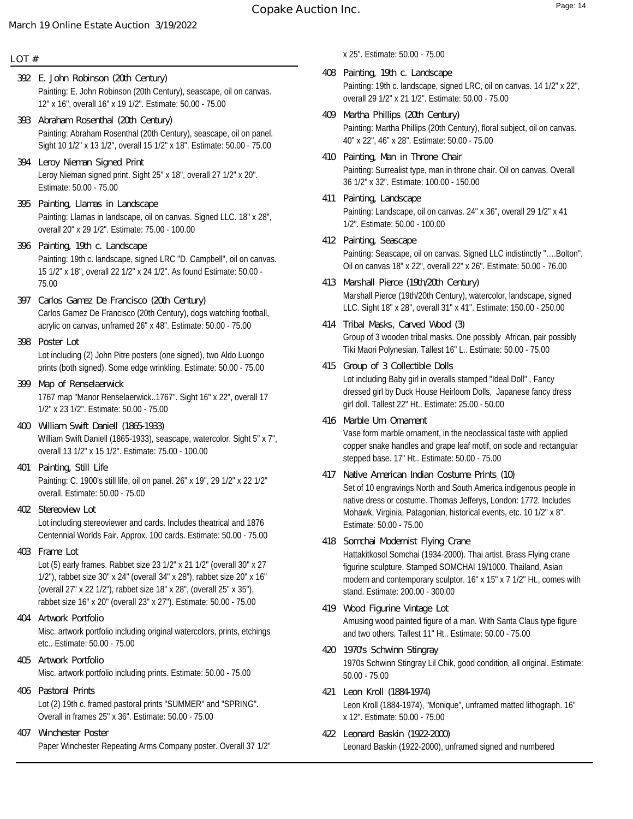### **LOT #**

- Painting: E. John Robinson (20th Century), seascape, oil on canvas. 12" x 16", overall 16" x 19 1/2". Estimate: 50.00 - 75.00 **392 E. John Robinson (20th Century)**
- Painting: Abraham Rosenthal (20th Century), seascape, oil on panel. Sight 10 1/2" x 13 1/2", overall 15 1/2" x 18". Estimate: 50.00 - 75.00 **393 Abraham Rosenthal (20th Century)**
- Leroy Nieman signed print. Sight 25" x 18", overall 27 1/2" x 20". Estimate: 50.00 - 75.00 **394 Leroy Nieman Signed Print**
- Painting: Llamas in landscape, oil on canvas. Signed LLC. 18" x 28", overall 20" x 29 1/2". Estimate: 75.00 - 100.00 **395 Painting, Llamas in Landscape**
- Painting: 19th c. landscape, signed LRC "D. Campbell", oil on canvas. 15 1/2" x 18", overall 22 1/2" x 24 1/2". As found Estimate: 50.00 - 75.00 **396 Painting, 19th c. Landscape**
- Carlos Gamez De Francisco (20th Century), dogs watching football, acrylic on canvas, unframed 26" x 48". Estimate: 50.00 - 75.00 **397 Carlos Gamez De Francisco (20th Century)**
- Lot including (2) John Pitre posters (one signed), two Aldo Luongo prints (both signed). Some edge wrinkling. Estimate: 50.00 - 75.00 **398 Poster Lot**
- 1767 map "Manor Renselaerwick..1767". Sight 16" x 22", overall 17 1/2" x 23 1/2". Estimate: 50.00 - 75.00 **399 Map of Renselaerwick**
- William Swift Daniell (1865-1933), seascape, watercolor. Sight 5" x 7", overall 13 1/2" x 15 1/2". Estimate: 75.00 - 100.00 **400 William Swift Daniell (1865-1933)**
- Painting: C. 1900's still life, oil on panel. 26" x 19", 29 1/2" x 22 1/2" overall. Estimate: 50.00 - 75.00 **401 Painting, Still Life**
- **402 Stereoview Lot**

Lot including stereoviewer and cards. Includes theatrical and 1876 Centennial Worlds Fair. Approx. 100 cards. Estimate: 50.00 - 75.00

**403 Frame Lot**

Lot (5) early frames. Rabbet size 23 1/2" x 21 1/2" (overall 30" x 27 1/2"), rabbet size 30" x 24" (overall 34" x 28"), rabbet size 20" x 16" (overall 27" x 22 1/2"), rabbet size 18" x 28", (overall 25" x 35"), rabbet size 16" x 20" (overall 23" x 27"). Estimate: 50.00 - 75.00

- Misc. artwork portfolio including original watercolors, prints, etchings etc.. Estimate: 50.00 - 75.00 **404 Artwork Portfolio**
- Misc. artwork portfolio including prints. Estimate: 50.00 75.00 **405 Artwork Portfolio**
- Lot (2) 19th c. framed pastoral prints "SUMMER" and "SPRING". Overall in frames 25" x 36". Estimate: 50.00 - 75.00 **406 Pastoral Prints**
- Paper Winchester Repeating Arms Company poster. Overall 37 1/2" **407 Winchester Poster**

x 25". Estimate: 50.00 - 75.00

- Painting: 19th c. landscape, signed LRC, oil on canvas. 14 1/2" x 22", overall 29 1/2" x 21 1/2". Estimate: 50.00 - 75.00 **408 Painting, 19th c. Landscape**
- Painting: Martha Phillips (20th Century), floral subject, oil on canvas. 40" x 22", 46" x 28". Estimate: 50.00 - 75.00 **409 Martha Phillips (20th Century)**
- Painting: Surrealist type, man in throne chair. Oil on canvas. Overall 36 1/2" x 32". Estimate: 100.00 - 150.00 **410 Painting, Man in Throne Chair**
- Painting: Landscape, oil on canvas. 24" x 36", overall 29 1/2" x 41 1/2". Estimate: 50.00 - 100.00 **411 Painting, Landscape**
- Painting: Seascape, oil on canvas. Signed LLC indistinctly "….Bolton". Oil on canvas 18" x 22", overall 22" x 26". Estimate: 50.00 - 76.00 **412 Painting, Seascape**
- Marshall Pierce (19th/20th Century), watercolor, landscape, signed LLC. Sight 18" x 28", overall 31" x 41". Estimate: 150.00 - 250.00 **413 Marshall Pierce (19th/20th Century)**
- Group of 3 wooden tribal masks. One possibly African, pair possibly Tiki Maori Polynesian. Tallest 16" L.. Estimate: 50.00 - 75.00 **414 Tribal Masks, Carved Wood (3)**
- Lot including Baby girl in overalls stamped "Ideal Doll" , Fancy dressed girl by Duck House Heirloom Dolls, Japanese fancy dress girl doll. Tallest 22" Ht.. Estimate: 25.00 - 50.00 **415 Group of 3 Collectible Dolls**
- Vase form marble ornament, in the neoclassical taste with applied copper snake handles and grape leaf motif, on socle and rectangular stepped base. 17" Ht.. Estimate: 50.00 - 75.00 **416 Marble Urn Ornament**
- Set of 10 engravings North and South America indigenous people in native dress or costume. Thomas Jefferys, London: 1772. Includes Mohawk, Virginia, Patagonian, historical events, etc. 10 1/2" x 8". Estimate: 50.00 - 75.00 **417 Native American Indian Costume Prints (10)**
- Hattakitkosol Somchai (1934-2000). Thai artist. Brass Flying crane figurine sculpture. Stamped SOMCHAI 19/1000. Thailand, Asian modern and contemporary sculptor. 16" x 15" x 7 1/2" Ht., comes with stand. Estimate: 200.00 - 300.00 **418 Somchai Modernist Flying Crane**
- Amusing wood painted figure of a man. With Santa Claus type figure and two others. Tallest 11" Ht.. Estimate: 50.00 - 75.00 **419 Wood Figurine Vintage Lot**
- 1970s Schwinn Stingray Lil Chik, good condition, all original. Estimate: 50.00 - 75.00 **420 1970's Schwinn Stingray**
- Leon Kroll (1884-1974), "Monique", unframed matted lithograph. 16" x 12". Estimate: 50.00 - 75.00 **421 Leon Kroll (1884-1974)**
- Leonard Baskin (1922-2000), unframed signed and numbered **422 Leonard Baskin (1922-2000)**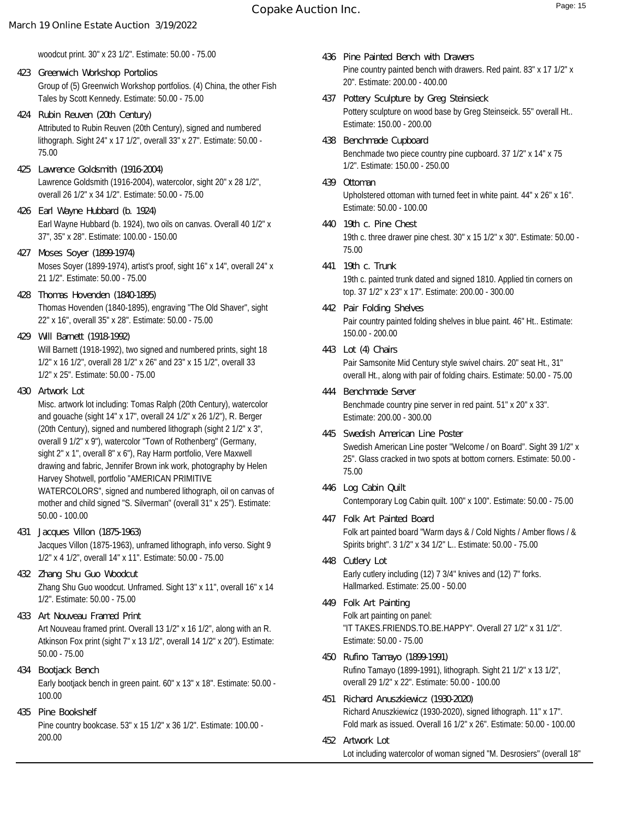woodcut print. 30" x 23 1/2". Estimate: 50.00 - 75.00

- Group of (5) Greenwich Workshop portfolios. (4) China, the other Fish Tales by Scott Kennedy. Estimate: 50.00 - 75.00 **423 Greenwich Workshop Portolios**
- Attributed to Rubin Reuven (20th Century), signed and numbered lithograph. Sight 24" x 17 1/2", overall 33" x 27". Estimate: 50.00 - 75.00 **424 Rubin Reuven (20th Century)**
- Lawrence Goldsmith (1916-2004), watercolor, sight 20" x 28 1/2", overall 26 1/2" x 34 1/2". Estimate: 50.00 - 75.00 **425 Lawrence Goldsmith (1916-2004)**
- Earl Wayne Hubbard (b. 1924), two oils on canvas. Overall 40 1/2" x 37", 35" x 28". Estimate: 100.00 - 150.00 **426 Earl Wayne Hubbard (b. 1924)**
- Moses Soyer (1899-1974), artist's proof, sight 16" x 14", overall 24" x 21 1/2". Estimate: 50.00 - 75.00 **427 Moses Soyer (1899-1974)**
- Thomas Hovenden (1840-1895), engraving "The Old Shaver", sight 22" x 16", overall 35" x 28". Estimate: 50.00 - 75.00 **428 Thomas Hovenden (1840-1895)**
- Will Barnett (1918-1992), two signed and numbered prints, sight 18 1/2" x 16 1/2", overall 28 1/2" x 26" and 23" x 15 1/2", overall 33 1/2" x 25". Estimate: 50.00 - 75.00 **429 Will Barnett (1918-1992)**
- **430 Artwork Lot**

Misc. artwork lot including: Tomas Ralph (20th Century), watercolor and gouache (sight 14" x 17", overall 24 1/2" x 26 1/2"), R. Berger (20th Century), signed and numbered lithograph (sight 2 1/2" x 3", overall 9 1/2" x 9"), watercolor "Town of Rothenberg" (Germany, sight 2" x 1", overall 8" x 6"), Ray Harm portfolio, Vere Maxwell drawing and fabric, Jennifer Brown ink work, photography by Helen Harvey Shotwell, portfolio "AMERICAN PRIMITIVE WATERCOLORS", signed and numbered lithograph, oil on canvas of mother and child signed "S. Silverman" (overall 31" x 25"). Estimate: 50.00 - 100.00

- Jacques Villon (1875-1963), unframed lithograph, info verso. Sight 9 1/2" x 4 1/2", overall 14" x 11". Estimate: 50.00 - 75.00 **431 Jacques Villon (1875-1963)**
- Zhang Shu Guo woodcut. Unframed. Sight 13" x 11", overall 16" x 14 1/2". Estimate: 50.00 - 75.00 **432 Zhang Shu Guo Woodcut**
- Art Nouveau framed print. Overall 13 1/2" x 16 1/2", along with an R. Atkinson Fox print (sight 7" x 13 1/2", overall 14 1/2" x 20"). Estimate: 50.00 - 75.00 **433 Art Nouveau Framed Print**
- Early bootjack bench in green paint. 60" x 13" x 18". Estimate: 50.00 100.00 **434 Bootjack Bench**
- Pine country bookcase. 53" x 15 1/2" x 36 1/2". Estimate: 100.00 200.00 **435 Pine Bookshelf**
- Pine country painted bench with drawers. Red paint. 83" x 17 1/2" x 20". Estimate: 200.00 - 400.00 **436 Pine Painted Bench with Drawers**
- Pottery sculpture on wood base by Greg Steinseick. 55" overall Ht.. Estimate: 150.00 - 200.00 **437 Pottery Sculpture by Greg Steinsieck**
- Benchmade two piece country pine cupboard. 37 1/2" x 14" x 75 1/2". Estimate: 150.00 - 250.00 **438 Benchmade Cupboard**
- Upholstered ottoman with turned feet in white paint. 44" x 26" x 16". Estimate: 50.00 - 100.00 **439 Ottoman**
- 19th c. three drawer pine chest. 30" x 15 1/2" x 30". Estimate: 50.00 75.00 **440 19th c. Pine Chest**
- 19th c. painted trunk dated and signed 1810. Applied tin corners on top. 37 1/2" x 23" x 17". Estimate: 200.00 - 300.00 **441 19th c. Trunk**
- Pair country painted folding shelves in blue paint. 46" Ht.. Estimate: 150.00 - 200.00 **442 Pair Folding Shelves**
- Pair Samsonite Mid Century style swivel chairs. 20" seat Ht., 31" overall Ht., along with pair of folding chairs. Estimate: 50.00 - 75.00 **443 Lot (4) Chairs**
- Benchmade country pine server in red paint. 51" x 20" x 33". Estimate: 200.00 - 300.00 **444 Benchmade Server**
- Swedish American Line poster "Welcome / on Board". Sight 39 1/2" x 25". Glass cracked in two spots at bottom corners. Estimate: 50.00 - 75.00 **445 Swedish American Line Poster**
- Contemporary Log Cabin quilt. 100" x 100". Estimate: 50.00 75.00 **446 Log Cabin Quilt**
- Folk art painted board "Warm days & / Cold Nights / Amber flows / & Spirits bright". 3 1/2" x 34 1/2" L.. Estimate: 50.00 - 75.00 **447 Folk Art Painted Board**
- Early cutlery including (12) 7 3/4" knives and (12) 7" forks. Hallmarked. Estimate: 25.00 - 50.00 **448 Cutlery Lot**
- Folk art painting on panel: "IT TAKES.FRIENDS.TO.BE.HAPPY". Overall 27 1/2" x 31 1/2". Estimate: 50.00 - 75.00 **449 Folk Art Painting**
- Rufino Tamayo (1899-1991), lithograph. Sight 21 1/2" x 13 1/2", overall 29 1/2" x 22". Estimate: 50.00 - 100.00 **450 Rufino Tamayo (1899-1991)**
- Richard Anuszkiewicz (1930-2020), signed lithograph. 11" x 17". Fold mark as issued. Overall 16 1/2" x 26". Estimate: 50.00 - 100.00 **451 Richard Anuszkiewicz (1930-2020)**
- Lot including watercolor of woman signed "M. Desrosiers" (overall 18" **452 Artwork Lot**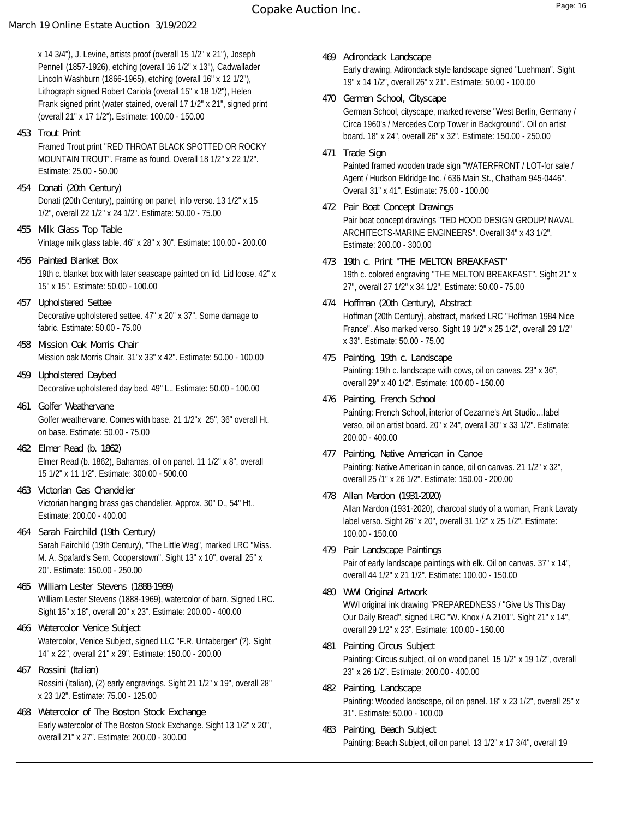x 14 3/4"), J. Levine, artists proof (overall 15 1/2" x 21"), Joseph Pennell (1857-1926), etching (overall 16 1/2" x 13"), Cadwallader Lincoln Washburn (1866-1965), etching (overall 16" x 12 1/2"), Lithograph signed Robert Cariola (overall 15" x 18 1/2"), Helen Frank signed print (water stained, overall 17 1/2" x 21", signed print (overall 21" x 17 1/2"). Estimate: 100.00 - 150.00

**453 Trout Print**

Framed Trout print "RED THROAT BLACK SPOTTED OR ROCKY MOUNTAIN TROUT". Frame as found. Overall 18 1/2" x 22 1/2". Estimate: 25.00 - 50.00

- Donati (20th Century), painting on panel, info verso. 13 1/2" x 15 1/2", overall 22 1/2" x 24 1/2". Estimate: 50.00 - 75.00 **454 Donati (20th Century)**
- Vintage milk glass table. 46" x 28" x 30". Estimate: 100.00 200.00 **455 Milk Glass Top Table**
- 19th c. blanket box with later seascape painted on lid. Lid loose. 42" x 15" x 15". Estimate: 50.00 - 100.00 **456 Painted Blanket Box**
- Decorative upholstered settee. 47" x 20" x 37". Some damage to fabric. Estimate: 50.00 - 75.00 **457 Upholstered Settee**
- Mission oak Morris Chair. 31"x 33" x 42". Estimate: 50.00 100.00 **458 Mission Oak Morris Chair**
- Decorative upholstered day bed. 49" L.. Estimate: 50.00 100.00 **459 Upholstered Daybed**
- Golfer weathervane. Comes with base. 21 1/2"x 25", 36" overall Ht. on base. Estimate: 50.00 - 75.00 **461 Golfer Weathervane**
- Elmer Read (b. 1862), Bahamas, oil on panel. 11 1/2" x 8", overall 15 1/2" x 11 1/2". Estimate: 300.00 - 500.00 **462 Elmer Read (b. 1862)**
- Victorian hanging brass gas chandelier. Approx. 30" D., 54" Ht.. Estimate: 200.00 - 400.00 **463 Victorian Gas Chandelier**
- Sarah Fairchild (19th Century), "The Little Wag", marked LRC "Miss. M. A. Spafard's Sem. Cooperstown". Sight 13" x 10", overall 25" x 20". Estimate: 150.00 - 250.00 **464 Sarah Fairchild (19th Century)**
- William Lester Stevens (1888-1969), watercolor of barn. Signed LRC. Sight 15" x 18", overall 20" x 23". Estimate: 200.00 - 400.00 **465 William Lester Stevens (1888-1969)**
- Watercolor, Venice Subject, signed LLC "F.R. Untaberger" (?). Sight 14" x 22", overall 21" x 29". Estimate: 150.00 - 200.00 **466 Watercolor Venice Subject**
- Rossini (Italian), (2) early engravings. Sight 21 1/2" x 19", overall 28" x 23 1/2". Estimate: 75.00 - 125.00 **467 Rossini (Italian)**
- Early watercolor of The Boston Stock Exchange. Sight 13 1/2" x 20", overall 21" x 27". Estimate: 200.00 - 300.00 **468 Watercolor of The Boston Stock Exchange**
- Early drawing, Adirondack style landscape signed "Luehman". Sight 19" x 14 1/2", overall 26" x 21". Estimate: 50.00 - 100.00 **469 Adirondack Landscape**
- German School, cityscape, marked reverse "West Berlin, Germany / Circa 1960's / Mercedes Corp Tower in Background". Oil on artist board. 18" x 24", overall 26" x 32". Estimate: 150.00 - 250.00 **470 German School, Cityscape**
- Painted framed wooden trade sign "WATERFRONT / LOT-for sale / Agent / Hudson Eldridge Inc. / 636 Main St., Chatham 945-0446". Overall 31" x 41". Estimate: 75.00 - 100.00 **471 Trade Sign**
- Pair boat concept drawings "TED HOOD DESIGN GROUP/ NAVAL ARCHITECTS-MARINE ENGINEERS". Overall 34" x 43 1/2". Estimate: 200.00 - 300.00 **472 Pair Boat Concept Drawings**
- 19th c. colored engraving "THE MELTON BREAKFAST". Sight 21" x 27", overall 27 1/2" x 34 1/2". Estimate: 50.00 - 75.00 **473 19th c. Print "THE MELTON BREAKFAST"**
- Hoffman (20th Century), abstract, marked LRC "Hoffman 1984 Nice France". Also marked verso. Sight 19 1/2" x 25 1/2", overall 29 1/2" x 33". Estimate: 50.00 - 75.00 **474 Hoffman (20th Century), Abstract**
- Painting: 19th c. landscape with cows, oil on canvas. 23" x 36", overall 29" x 40 1/2". Estimate: 100.00 - 150.00 **475 Painting, 19th c. Landscape**
- Painting: French School, interior of Cezanne's Art Studio…label verso, oil on artist board. 20" x 24", overall 30" x 33 1/2". Estimate: 200.00 - 400.00 **476 Painting, French School**
- Painting: Native American in canoe, oil on canvas. 21 1/2" x 32", overall 25 /1" x 26 1/2". Estimate: 150.00 - 200.00 **477 Painting, Native American in Canoe**
- Allan Mardon (1931-2020), charcoal study of a woman, Frank Lavaty label verso. Sight 26" x 20", overall 31 1/2" x 25 1/2". Estimate: 100.00 - 150.00 **478 Allan Mardon (1931-2020)**
- Pair of early landscape paintings with elk. Oil on canvas. 37" x 14", overall 44 1/2" x 21 1/2". Estimate: 100.00 - 150.00 **479 Pair Landscape Paintings**
- WWI original ink drawing "PREPAREDNESS / "Give Us This Day Our Daily Bread", signed LRC "W. Knox / A 2101". Sight 21" x 14", overall 29 1/2" x 23". Estimate: 100.00 - 150.00 **480 WWI Original Artwork**
- Painting: Circus subject, oil on wood panel. 15 1/2" x 19 1/2", overall 23" x 26 1/2". Estimate: 200.00 - 400.00 **481 Painting Circus Subject**
- Painting: Wooded landscape, oil on panel. 18" x 23 1/2", overall 25" x 31". Estimate: 50.00 - 100.00 **482 Painting, Landscape**
- Painting: Beach Subject, oil on panel. 13 1/2" x 17 3/4", overall 19 **483 Painting, Beach Subject**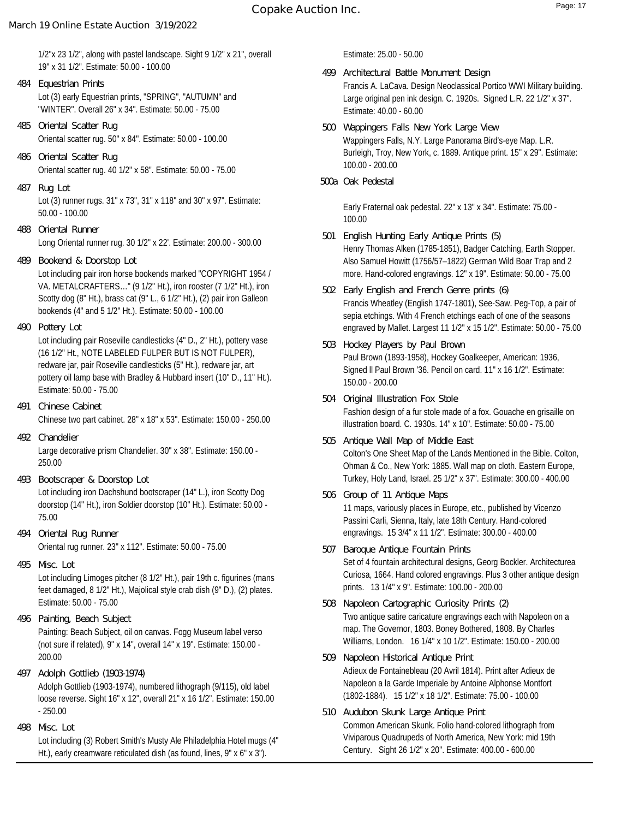# **Copake Auction Inc.** The Copake Auction Inc.

# **March 19 Online Estate Auction 3/19/2022**

1/2"x 23 1/2", along with pastel landscape. Sight 9 1/2" x 21", overall 19" x 31 1/2". Estimate: 50.00 - 100.00

- Lot (3) early Equestrian prints, "SPRING", "AUTUMN" and "WINTER". Overall 26" x 34". Estimate: 50.00 - 75.00 **484 Equestrian Prints**
- Oriental scatter rug. 50" x 84". Estimate: 50.00 100.00 **485 Oriental Scatter Rug**
- Oriental scatter rug. 40 1/2" x 58". Estimate: 50.00 75.00 **486 Oriental Scatter Rug**
- Lot (3) runner rugs. 31" x 73", 31" x 118" and 30" x 97". Estimate: 50.00 - 100.00 **487 Rug Lot**
- Long Oriental runner rug. 30 1/2" x 22'. Estimate: 200.00 300.00 **488 Oriental Runner**
- Lot including pair iron horse bookends marked "COPYRIGHT 1954 / VA. METALCRAFTERS…" (9 1/2" Ht.), iron rooster (7 1/2" Ht.), iron Scotty dog (8" Ht.), brass cat (9" L., 6 1/2" Ht.), (2) pair iron Galleon bookends (4" and 5 1/2" Ht.). Estimate: 50.00 - 100.00 **489 Bookend & Doorstop Lot**
- **490 Pottery Lot**

Lot including pair Roseville candlesticks (4" D., 2" Ht.), pottery vase (16 1/2" Ht., NOTE LABELED FULPER BUT IS NOT FULPER), redware jar, pair Roseville candlesticks (5" Ht.), redware jar, art pottery oil lamp base with Bradley & Hubbard insert (10" D., 11" Ht.). Estimate: 50.00 - 75.00

- Chinese two part cabinet. 28" x 18" x 53". Estimate: 150.00 250.00 **491 Chinese Cabinet**
- Large decorative prism Chandelier. 30" x 38". Estimate: 150.00 250.00 **492 Chandelier**
- Lot including iron Dachshund bootscraper (14" L.), iron Scotty Dog doorstop (14" Ht.), iron Soldier doorstop (10" Ht.). Estimate: 50.00 - 75.00 **493 Bootscraper & Doorstop Lot**
- Oriental rug runner. 23" x 112". Estimate: 50.00 75.00 **494 Oriental Rug Runner**
- Lot including Limoges pitcher (8 1/2" Ht.), pair 19th c. figurines (mans feet damaged, 8 1/2" Ht.), Majolical style crab dish (9" D.), (2) plates. Estimate: 50.00 - 75.00 **495 Misc. Lot**
- Painting: Beach Subject, oil on canvas. Fogg Museum label verso (not sure if related), 9" x 14", overall 14" x 19". Estimate: 150.00 - 200.00 **496 Painting, Beach Subject**
- Adolph Gottlieb (1903-1974), numbered lithograph (9/115), old label loose reverse. Sight 16" x 12", overall 21" x 16 1/2". Estimate: 150.00 - 250.00 **497 Adolph Gottlieb (1903-1974)**
- **498 Misc. Lot**

Lot including (3) Robert Smith's Musty Ale Philadelphia Hotel mugs (4" Ht.), early creamware reticulated dish (as found, lines, 9" x 6" x 3").

Estimate: 25.00 - 50.00

- Francis A. LaCava. Design Neoclassical Portico WWI Military building. Large original pen ink design. C. 1920s. Signed L.R. 22 1/2" x 37". Estimate: 40.00 - 60.00 **499 Architectural Battle Monument Design**
- Wappingers Falls, N.Y. Large Panorama Bird's-eye Map. L.R. Burleigh, Troy, New York, c. 1889. Antique print. 15" x 29". Estimate: 100.00 - 200.00 **500 Wappingers Falls New York Large View**
- **500a Oak Pedestal**

Early Fraternal oak pedestal. 22" x 13" x 34". Estimate: 75.00 - 100.00

- Henry Thomas Alken (1785-1851), Badger Catching, Earth Stopper. Also Samuel Howitt (1756/57–1822) German Wild Boar Trap and 2 more. Hand-colored engravings. 12" x 19". Estimate: 50.00 - 75.00 **501 English Hunting Early Antique Prints (5)**
- Francis Wheatley (English 1747-1801), See-Saw. Peg-Top, a pair of sepia etchings. With 4 French etchings each of one of the seasons engraved by Mallet. Largest 11 1/2" x 15 1/2". Estimate: 50.00 - 75.00 **502 Early English and French Genre prints (6)**
- Paul Brown (1893-1958), Hockey Goalkeeper, American: 1936, Signed ll Paul Brown '36. Pencil on card. 11" x 16 1/2". Estimate: 150.00 - 200.00 **503 Hockey Players by Paul Brown**
- Fashion design of a fur stole made of a fox. Gouache en grisaille on illustration board. C. 1930s. 14" x 10". Estimate: 50.00 - 75.00 **504 Original Illustration Fox Stole**
- Colton's One Sheet Map of the Lands Mentioned in the Bible. Colton, Ohman & Co., New York: 1885. Wall map on cloth. Eastern Europe, Turkey, Holy Land, Israel. 25 1/2" x 37". Estimate: 300.00 - 400.00 **505 Antique Wall Map of Middle East**
- 11 maps, variously places in Europe, etc., published by Vicenzo Passini Carli, Sienna, Italy, late 18th Century. Hand-colored engravings. 15 3/4" x 11 1/2". Estimate: 300.00 - 400.00 **506 Group of 11 Antique Maps**
- Set of 4 fountain architectural designs, Georg Bockler. Architecturea Curiosa, 1664. Hand colored engravings. Plus 3 other antique design prints. 13 1/4" x 9". Estimate: 100.00 - 200.00 **507 Baroque Antique Fountain Prints**
- Two antique satire caricature engravings each with Napoleon on a map. The Governor, 1803. Boney Bothered, 1808. By Charles Williams, London. 16 1/4" x 10 1/2". Estimate: 150.00 - 200.00 **508 Napoleon Cartographic Curiosity Prints (2)**
- Adieux de Fontainebleau (20 Avril 1814). Print after Adieux de Napoleon a la Garde Imperiale by Antoine Alphonse Montfort (1802-1884). 15 1/2" x 18 1/2". Estimate: 75.00 - 100.00 **509 Napoleon Historical Antique Print**
- Common American Skunk. Folio hand-colored lithograph from Viviparous Quadrupeds of North America, New York: mid 19th Century. Sight 26 1/2" x 20". Estimate: 400.00 - 600.00 **510 Audubon Skunk Large Antique Print**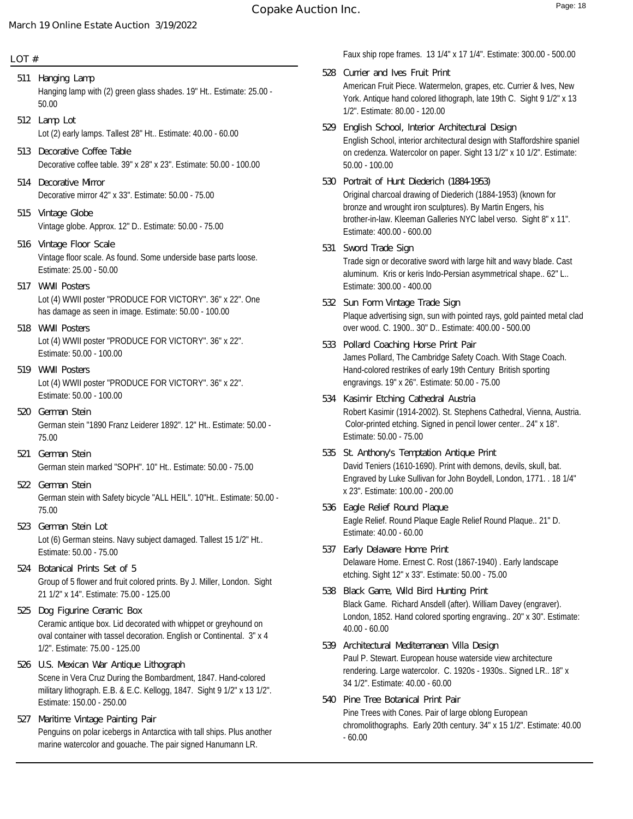### **LOT #**

- Hanging lamp with (2) green glass shades. 19" Ht.. Estimate: 25.00 50.00 **511 Hanging Lamp**
- Lot (2) early lamps. Tallest 28" Ht.. Estimate: 40.00 60.00 **512 Lamp Lot**
- Decorative coffee table. 39" x 28" x 23". Estimate: 50.00 100.00 **513 Decorative Coffee Table**
- Decorative mirror 42" x 33". Estimate: 50.00 75.00 **514 Decorative Mirror**
- Vintage globe. Approx. 12" D.. Estimate: 50.00 75.00 **515 Vintage Globe**
- Vintage floor scale. As found. Some underside base parts loose. Estimate: 25.00 - 50.00 **516 Vintage Floor Scale**
- Lot (4) WWII poster "PRODUCE FOR VICTORY". 36" x 22". One has damage as seen in image. Estimate: 50.00 - 100.00 **517 WWII Posters**
- Lot (4) WWII poster "PRODUCE FOR VICTORY". 36" x 22". Estimate: 50.00 - 100.00 **518 WWII Posters**
- Lot (4) WWII poster "PRODUCE FOR VICTORY". 36" x 22". Estimate: 50.00 - 100.00 **519 WWII Posters**
- German stein "1890 Franz Leiderer 1892". 12" Ht.. Estimate: 50.00 75.00 **520 German Stein**
- German stein marked "SOPH". 10" Ht.. Estimate: 50.00 75.00 **521 German Stein**
- German stein with Safety bicycle "ALL HEIL". 10"Ht.. Estimate: 50.00 75.00 **522 German Stein**
- Lot (6) German steins. Navy subject damaged. Tallest 15 1/2" Ht.. Estimate: 50.00 - 75.00 **523 German Stein Lot**
- Group of 5 flower and fruit colored prints. By J. Miller, London. Sight 21 1/2" x 14". Estimate: 75.00 - 125.00 **524 Botanical Prints Set of 5**
- Ceramic antique box. Lid decorated with whippet or greyhound on oval container with tassel decoration. English or Continental. 3" x 4 1/2". Estimate: 75.00 - 125.00 **525 Dog Figurine Ceramic Box**
- Scene in Vera Cruz During the Bombardment, 1847. Hand-colored military lithograph. E.B. & E.C. Kellogg, 1847. Sight 9 1/2" x 13 1/2". Estimate: 150.00 - 250.00 **526 U.S. Mexican War Antique Lithograph**
- Penguins on polar icebergs in Antarctica with tall ships. Plus another marine watercolor and gouache. The pair signed Hanumann LR. **527 Maritime Vintage Painting Pair**

Faux ship rope frames. 13 1/4" x 17 1/4". Estimate: 300.00 - 500.00

- American Fruit Piece. Watermelon, grapes, etc. Currier & Ives, New York. Antique hand colored lithograph, late 19th C. Sight 9 1/2" x 13 1/2". Estimate: 80.00 - 120.00 **528 Currier and Ives Fruit Print**
- English School, interior architectural design with Staffordshire spaniel on credenza. Watercolor on paper. Sight 13 1/2" x 10 1/2". Estimate: 50.00 - 100.00 **529 English School, Interior Architectural Design**
- Original charcoal drawing of Diederich (1884-1953) (known for bronze and wrought iron sculptures). By Martin Engers, his brother-in-law. Kleeman Galleries NYC label verso. Sight 8" x 11". Estimate: 400.00 - 600.00 **530 Portrait of Hunt Diederich (1884-1953)**
- Trade sign or decorative sword with large hilt and wavy blade. Cast aluminum. Kris or keris Indo-Persian asymmetrical shape.. 62" L.. Estimate: 300.00 - 400.00 **531 Sword Trade Sign**
- Plaque advertising sign, sun with pointed rays, gold painted metal clad over wood. C. 1900.. 30" D.. Estimate: 400.00 - 500.00 **532 Sun Form Vintage Trade Sign**
- James Pollard, The Cambridge Safety Coach. With Stage Coach. Hand-colored restrikes of early 19th Century British sporting engravings. 19" x 26". Estimate: 50.00 - 75.00 **533 Pollard Coaching Horse Print Pair**
- Robert Kasimir (1914-2002). St. Stephens Cathedral, Vienna, Austria. Color-printed etching. Signed in pencil lower center.. 24" x 18". Estimate: 50.00 - 75.00 **534 Kasimir Etching Cathedral Austria**
- David Teniers (1610-1690). Print with demons, devils, skull, bat. Engraved by Luke Sullivan for John Boydell, London, 1771. . 18 1/4" x 23". Estimate: 100.00 - 200.00 **535 St. Anthony's Temptation Antique Print**
- Eagle Relief. Round Plaque Eagle Relief Round Plaque.. 21" D. Estimate: 40.00 - 60.00 **536 Eagle Relief Round Plaque**
- Delaware Home. Ernest C. Rost (1867-1940) . Early landscape etching. Sight 12" x 33". Estimate: 50.00 - 75.00 **537 Early Delaware Home Print**
- Black Game. Richard Ansdell (after). William Davey (engraver). London, 1852. Hand colored sporting engraving.. 20" x 30". Estimate: 40.00 - 60.00 **538 Black Game, Wild Bird Hunting Print**
- Paul P. Stewart. European house waterside view architecture rendering. Large watercolor. C. 1920s - 1930s.. Signed LR.. 18" x 34 1/2". Estimate: 40.00 - 60.00 **539 Architectural Mediterranean Villa Design**
- Pine Trees with Cones. Pair of large oblong European chromolithographs. Early 20th century. 34" x 15 1/2". Estimate: 40.00 - 60.00 **540 Pine Tree Botanical Print Pair**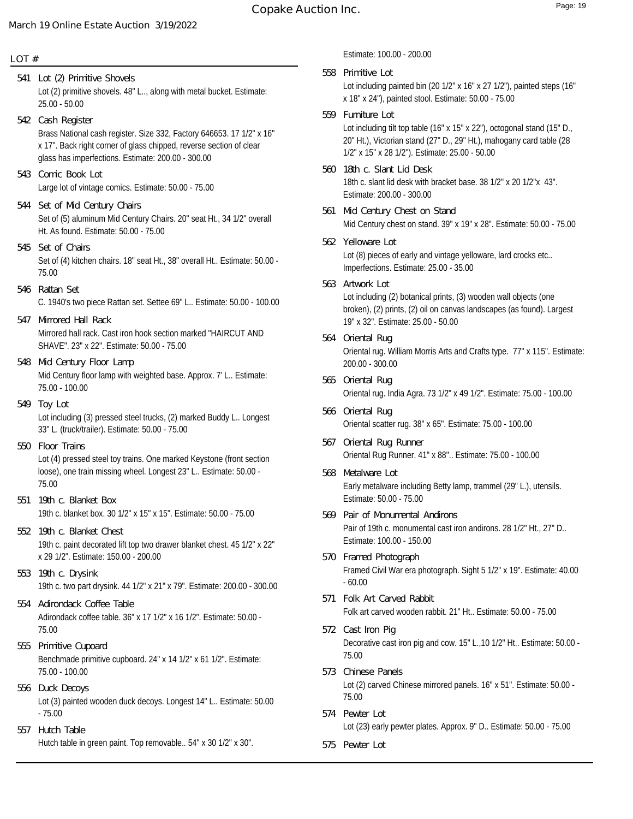### **LOT #**

Lot (2) primitive shovels. 48" L.., along with metal bucket. Estimate: 25.00 - 50.00 **541 Lot (2) Primitive Shovels** Brass National cash register. Size 332, Factory 646653. 17 1/2" x 16" x 17". Back right corner of glass chipped, reverse section of clear glass has imperfections. Estimate: 200.00 - 300.00 **542 Cash Register** Large lot of vintage comics. Estimate: 50.00 - 75.00 **543 Comic Book Lot** Set of (5) aluminum Mid Century Chairs. 20" seat Ht., 34 1/2" overall Ht. As found. Estimate: 50.00 - 75.00 **544 Set of Mid Century Chairs** Set of (4) kitchen chairs. 18" seat Ht., 38" overall Ht.. Estimate: 50.00 - 75.00 **545 Set of Chairs** C. 1940's two piece Rattan set. Settee 69" L.. Estimate: 50.00 - 100.00 **546 Rattan Set** Mirrored hall rack. Cast iron hook section marked "HAIRCUT AND SHAVE". 23" x 22". Estimate: 50.00 - 75.00 **547 Mirrored Hall Rack** Mid Century floor lamp with weighted base. Approx. 7' L.. Estimate: 75.00 - 100.00 **548 Mid Century Floor Lamp** Lot including (3) pressed steel trucks, (2) marked Buddy L.. Longest 33" L. (truck/trailer). Estimate: 50.00 - 75.00 **549 Toy Lot** Lot (4) pressed steel toy trains. One marked Keystone (front section loose), one train missing wheel. Longest 23" L.. Estimate: 50.00 - 75.00 **550 Floor Trains** 19th c. blanket box. 30 1/2" x 15" x 15". Estimate: 50.00 - 75.00 **551 19th c. Blanket Box** 19th c. paint decorated lift top two drawer blanket chest. 45 1/2" x 22" x 29 1/2". Estimate: 150.00 - 200.00 **552 19th c. Blanket Chest** 19th c. two part drysink. 44 1/2" x 21" x 79". Estimate: 200.00 - 300.00 **553 19th c. Drysink** Adirondack coffee table. 36" x 17 1/2" x 16 1/2". Estimate: 50.00 - 75.00 **554 Adirondack Coffee Table** Benchmade primitive cupboard. 24" x 14 1/2" x 61 1/2". Estimate: 75.00 - 100.00 **555 Primitive Cupoard 556 Duck Decoys**

Lot (3) painted wooden duck decoys. Longest 14" L.. Estimate: 50.00 - 75.00

Hutch table in green paint. Top removable.. 54" x 30 1/2" x 30". **557 Hutch Table**

Estimate: 100.00 - 200.00

Lot including painted bin (20 1/2" x 16" x 27 1/2"), painted steps (16" x 18" x 24"), painted stool. Estimate: 50.00 - 75.00 **558 Primitive Lot** Lot including tilt top table (16" x 15" x 22"), octogonal stand (15" D., 20" Ht.), Victorian stand (27" D., 29" Ht.), mahogany card table (28 1/2" x 15" x 28 1/2"). Estimate: 25.00 - 50.00 **559 Furniture Lot** 18th c. slant lid desk with bracket base. 38 1/2" x 20 1/2"x 43". Estimate: 200.00 - 300.00 **560 18th c. Slant Lid Desk** Mid Century chest on stand. 39" x 19" x 28". Estimate: 50.00 - 75.00 **561 Mid Century Chest on Stand** Lot (8) pieces of early and vintage yelloware, lard crocks etc.. Imperfections. Estimate: 25.00 - 35.00 **562 Yelloware Lot** Lot including (2) botanical prints, (3) wooden wall objects (one broken), (2) prints, (2) oil on canvas landscapes (as found). Largest 19" x 32". Estimate: 25.00 - 50.00 **563 Artwork Lot** Oriental rug. William Morris Arts and Crafts type. 77" x 115". Estimate: 200.00 - 300.00 **564 Oriental Rug** Oriental rug. India Agra. 73 1/2" x 49 1/2". Estimate: 75.00 - 100.00 **565 Oriental Rug** Oriental scatter rug. 38" x 65". Estimate: 75.00 - 100.00 **566 Oriental Rug** Oriental Rug Runner. 41" x 88".. Estimate: 75.00 - 100.00 **567 Oriental Rug Runner** Early metalware including Betty lamp, trammel (29" L.), utensils. Estimate: 50.00 - 75.00 **568 Metalware Lot** Pair of 19th c. monumental cast iron andirons. 28 1/2" Ht., 27" D.. Estimate: 100.00 - 150.00 **569 Pair of Monumental Andirons** Framed Civil War era photograph. Sight 5 1/2" x 19". Estimate: 40.00 - 60.00 **570 Framed Photograph** Folk art carved wooden rabbit. 21" Ht.. Estimate: 50.00 - 75.00 **571 Folk Art Carved Rabbit** Decorative cast iron pig and cow. 15" L.,10 1/2" Ht.. Estimate: 50.00 - 75.00 **572 Cast Iron Pig** Lot (2) carved Chinese mirrored panels. 16" x 51". Estimate: 50.00 - 75.00 **573 Chinese Panels** Lot (23) early pewter plates. Approx. 9" D.. Estimate: 50.00 - 75.00 **574 Pewter Lot 575 Pewter Lot**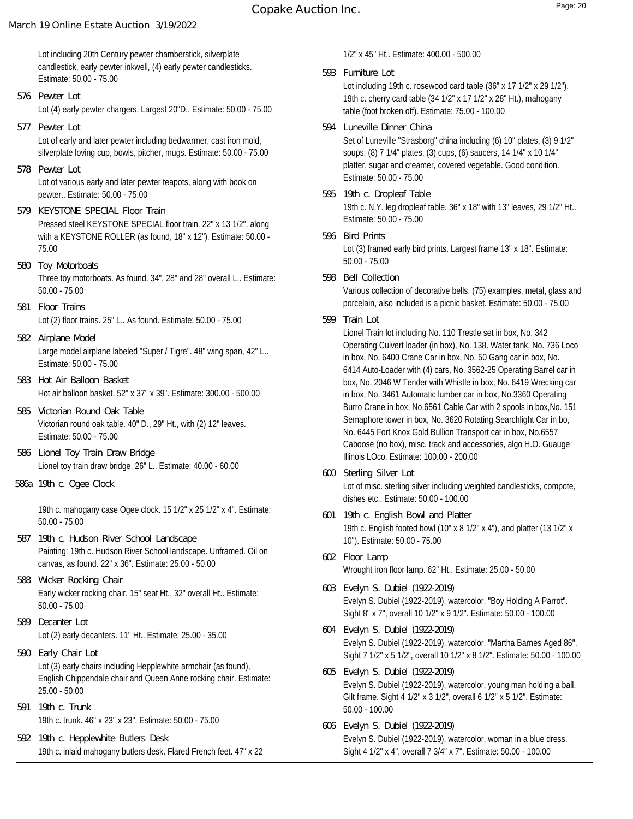Lot including 20th Century pewter chamberstick, silverplate candlestick, early pewter inkwell, (4) early pewter candlesticks. Estimate: 50.00 - 75.00

- Lot (4) early pewter chargers. Largest 20"D.. Estimate: 50.00 75.00 **576 Pewter Lot**
- Lot of early and later pewter including bedwarmer, cast iron mold, silverplate loving cup, bowls, pitcher, mugs. Estimate: 50.00 - 75.00 **577 Pewter Lot**
- Lot of various early and later pewter teapots, along with book on pewter.. Estimate: 50.00 - 75.00 **578 Pewter Lot**
- Pressed steel KEYSTONE SPECIAL floor train. 22" x 13 1/2", along with a KEYSTONE ROLLER (as found, 18" x 12"). Estimate: 50.00 - 75.00 **579 KEYSTONE SPECIAL Floor Train**
- Three toy motorboats. As found. 34", 28" and 28" overall L.. Estimate: 50.00 - 75.00 **580 Toy Motorboats**
- Lot (2) floor trains. 25" L.. As found. Estimate: 50.00 75.00 **581 Floor Trains**
- Large model airplane labeled "Super / Tigre". 48" wing span, 42" L.. Estimate: 50.00 - 75.00 **582 Airplane Model**
- Hot air balloon basket. 52" x 37" x 39". Estimate: 300.00 500.00 **583 Hot Air Balloon Basket**
- Victorian round oak table. 40" D., 29" Ht., with (2) 12" leaves. Estimate: 50.00 - 75.00 **585 Victorian Round Oak Table**
- Lionel toy train draw bridge. 26" L.. Estimate: 40.00 60.00 **586 Lionel Toy Train Draw Bridge**
- **586a 19th c. Ogee Clock**

19th c. mahogany case Ogee clock. 15 1/2" x 25 1/2" x 4". Estimate: 50.00 - 75.00

- Painting: 19th c. Hudson River School landscape. Unframed. Oil on canvas, as found. 22" x 36". Estimate: 25.00 - 50.00 **587 19th c. Hudson River School Landscape**
- Early wicker rocking chair. 15" seat Ht., 32" overall Ht.. Estimate: 50.00 - 75.00 **588 Wicker Rocking Chair**
- Lot (2) early decanters. 11" Ht.. Estimate: 25.00 35.00 **589 Decanter Lot**
- Lot (3) early chairs including Hepplewhite armchair (as found), English Chippendale chair and Queen Anne rocking chair. Estimate: 25.00 - 50.00 **590 Early Chair Lot**
- 19th c. trunk. 46" x 23" x 23". Estimate: 50.00 75.00 **591 19th c. Trunk**
- 19th c. inlaid mahogany butlers desk. Flared French feet. 47" x 22 **592 19th c. Hepplewhite Butlers Desk**

1/2" x 45" Ht.. Estimate: 400.00 - 500.00

**593 Furniture Lot**

Lot including 19th c. rosewood card table (36" x 17 1/2" x 29 1/2"), 19th c. cherry card table (34 1/2" x 17 1/2" x 28" Ht.), mahogany table (foot broken off). Estimate: 75.00 - 100.00

**594 Luneville Dinner China**

Set of Luneville "Strasborg" china including (6) 10" plates, (3) 9 1/2" soups, (8) 7 1/4" plates, (3) cups, (6) saucers, 14 1/4" x 10 1/4" platter, sugar and creamer, covered vegetable. Good condition. Estimate: 50.00 - 75.00

- 19th c. N.Y. leg dropleaf table. 36" x 18" with 13" leaves, 29 1/2" Ht.. Estimate: 50.00 - 75.00 **595 19th c. Dropleaf Table**
- Lot (3) framed early bird prints. Largest frame 13" x 18". Estimate: 50.00 - 75.00 **596 Bird Prints**
- **598 Bell Collection**

Various collection of decorative bells. (75) examples, metal, glass and porcelain, also included is a picnic basket. Estimate: 50.00 - 75.00

**599 Train Lot**

Lionel Train lot including No. 110 Trestle set in box, No. 342 Operating Culvert loader (in box), No. 138. Water tank, No. 736 Loco in box, No. 6400 Crane Car in box, No. 50 Gang car in box, No. 6414 Auto-Loader with (4) cars, No. 3562-25 Operating Barrel car in box, No. 2046 W Tender with Whistle in box, No. 6419 Wrecking car in box, No. 3461 Automatic lumber car in box, No.3360 Operating Burro Crane in box, No.6561 Cable Car with 2 spools in box,No. 151 Semaphore tower in box, No. 3620 Rotating Searchlight Car in bo, No. 6445 Fort Knox Gold Bullion Transport car in box, No.6557 Caboose (no box), misc. track and accessories, algo H.O. Guauge Illinois LOco. Estimate: 100.00 - 200.00

- Lot of misc. sterling silver including weighted candlesticks, compote, dishes etc.. Estimate: 50.00 - 100.00 **600 Sterling Silver Lot**
- 19th c. English footed bowl (10" x 8 1/2" x 4"), and platter (13 1/2" x 10"). Estimate: 50.00 - 75.00 **601 19th c. English Bowl and Platter**
- Wrought iron floor lamp. 62" Ht.. Estimate: 25.00 50.00 **602 Floor Lamp**
- Evelyn S. Dubiel (1922-2019), watercolor, "Boy Holding A Parrot". Sight 8" x 7", overall 10 1/2" x 9 1/2". Estimate: 50.00 - 100.00 **603 Evelyn S. Dubiel (1922-2019)**
- Evelyn S. Dubiel (1922-2019), watercolor, "Martha Barnes Aged 86". Sight 7 1/2" x 5 1/2", overall 10 1/2" x 8 1/2". Estimate: 50.00 - 100.00 **604 Evelyn S. Dubiel (1922-2019)**
- Evelyn S. Dubiel (1922-2019), watercolor, young man holding a ball. Gilt frame. Sight 4 1/2" x 3 1/2", overall 6 1/2" x 5 1/2". Estimate: 50.00 - 100.00 **605 Evelyn S. Dubiel (1922-2019)**
- Evelyn S. Dubiel (1922-2019), watercolor, woman in a blue dress. Sight 4 1/2" x 4", overall 7 3/4" x 7". Estimate: 50.00 - 100.00 **606 Evelyn S. Dubiel (1922-2019)**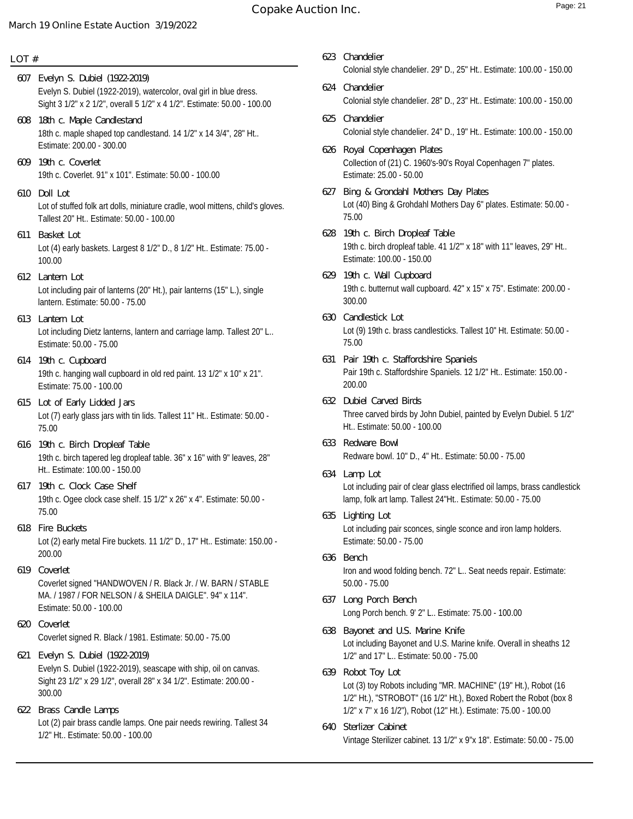# **Copake Auction Inc.** Page: 21

### **March 19 Online Estate Auction 3/19/2022**

#### **LOT #**

- Evelyn S. Dubiel (1922-2019), watercolor, oval girl in blue dress. Sight 3 1/2" x 2 1/2", overall 5 1/2" x 4 1/2". Estimate: 50.00 - 100.00 **607 Evelyn S. Dubiel (1922-2019)**
- 18th c. maple shaped top candlestand. 14 1/2" x 14 3/4", 28" Ht.. Estimate: 200.00 - 300.00 **608 18th c. Maple Candlestand**
- 19th c. Coverlet. 91" x 101". Estimate: 50.00 100.00 **609 19th c. Coverlet**
- Lot of stuffed folk art dolls, miniature cradle, wool mittens, child's gloves. Tallest 20" Ht.. Estimate: 50.00 - 100.00 **610 Doll Lot**
- Lot (4) early baskets. Largest 8 1/2" D., 8 1/2" Ht.. Estimate: 75.00 100.00 **611 Basket Lot**
- Lot including pair of lanterns (20" Ht.), pair lanterns (15" L.), single lantern. Estimate: 50.00 - 75.00 **612 Lantern Lot**
- Lot including Dietz lanterns, lantern and carriage lamp. Tallest 20" L.. Estimate: 50.00 - 75.00 **613 Lantern Lot**
- 19th c. hanging wall cupboard in old red paint. 13 1/2" x 10" x 21". Estimate: 75.00 - 100.00 **614 19th c. Cupboard**
- Lot (7) early glass jars with tin lids. Tallest 11" Ht.. Estimate: 50.00 75.00 **615 Lot of Early Lidded Jars**
- 19th c. birch tapered leg dropleaf table. 36" x 16" with 9" leaves, 28" Ht.. Estimate: 100.00 - 150.00 **616 19th c. Birch Dropleaf Table**
- 19th c. Ogee clock case shelf. 15 1/2" x 26" x 4". Estimate: 50.00 75.00 **617 19th c. Clock Case Shelf**
- Lot (2) early metal Fire buckets. 11 1/2" D., 17" Ht.. Estimate: 150.00 200.00 **618 Fire Buckets**
- Coverlet signed "HANDWOVEN / R. Black Jr. / W. BARN / STABLE MA. / 1987 / FOR NELSON / & SHEILA DAIGLE". 94" x 114". Estimate: 50.00 - 100.00 **619 Coverlet**
- Coverlet signed R. Black / 1981. Estimate: 50.00 75.00 **620 Coverlet**
- Evelyn S. Dubiel (1922-2019), seascape with ship, oil on canvas. Sight 23 1/2" x 29 1/2", overall 28" x 34 1/2". Estimate: 200.00 - 300.00 **621 Evelyn S. Dubiel (1922-2019)**
- Lot (2) pair brass candle lamps. One pair needs rewiring. Tallest 34 1/2" Ht.. Estimate: 50.00 - 100.00 **622 Brass Candle Lamps**
- Colonial style chandelier. 29" D., 25" Ht.. Estimate: 100.00 150.00 **623 Chandelier**
- Colonial style chandelier. 28" D., 23" Ht.. Estimate: 100.00 150.00 **624 Chandelier**
- Colonial style chandelier. 24" D., 19" Ht.. Estimate: 100.00 150.00 **625 Chandelier**
- Collection of (21) C. 1960's-90's Royal Copenhagen 7" plates. Estimate: 25.00 - 50.00 **626 Royal Copenhagen Plates**
- Lot (40) Bing & Grohdahl Mothers Day 6" plates. Estimate: 50.00 75.00 **627 Bing & Grondahl Mothers Day Plates**
- 19th c. birch dropleaf table. 41 1/2"' x 18" with 11" leaves, 29" Ht.. Estimate: 100.00 - 150.00 **628 19th c. Birch Dropleaf Table**
- 19th c. butternut wall cupboard. 42" x 15" x 75". Estimate: 200.00 300.00 **629 19th c. Wall Cupboard**
- Lot (9) 19th c. brass candlesticks. Tallest 10" Ht. Estimate: 50.00 75.00 **630 Candlestick Lot**
- Pair 19th c. Staffordshire Spaniels. 12 1/2" Ht.. Estimate: 150.00 200.00 **631 Pair 19th c. Staffordshire Spaniels**
- Three carved birds by John Dubiel, painted by Evelyn Dubiel. 5 1/2" Ht.. Estimate: 50.00 - 100.00 **632 Dubiel Carved Birds**
- Redware bowl. 10" D., 4" Ht.. Estimate: 50.00 75.00 **633 Redware Bowl**
- Lot including pair of clear glass electrified oil lamps, brass candlestick lamp, folk art lamp. Tallest 24"Ht.. Estimate: 50.00 - 75.00 **634 Lamp Lot**
- Lot including pair sconces, single sconce and iron lamp holders. Estimate: 50.00 - 75.00 **635 Lighting Lot**
- Iron and wood folding bench. 72" L.. Seat needs repair. Estimate: 50.00 - 75.00 **636 Bench**
- Long Porch bench. 9' 2" L.. Estimate: 75.00 100.00 **637 Long Porch Bench**
- Lot including Bayonet and U.S. Marine knife. Overall in sheaths 12 1/2" and 17" L.. Estimate: 50.00 - 75.00 **638 Bayonet and U.S. Marine Knife**
- Lot (3) toy Robots including "MR. MACHINE" (19" Ht.), Robot (16 1/2" Ht.), "STROBOT" (16 1/2" Ht.), Boxed Robert the Robot (box 8 1/2" x 7" x 16 1/2"), Robot (12" Ht.). Estimate: 75.00 - 100.00 **639 Robot Toy Lot**
- Vintage Sterilizer cabinet. 13 1/2" x 9"x 18". Estimate: 50.00 75.00 **640 Sterlizer Cabinet**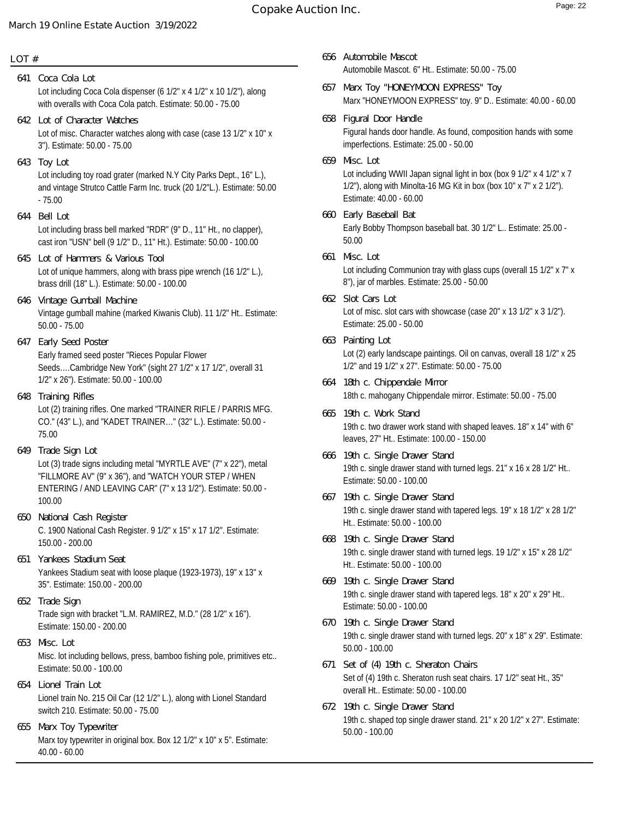### **LOT #**

- Lot including Coca Cola dispenser (6 1/2" x 4 1/2" x 10 1/2"), along with overalls with Coca Cola patch. Estimate: 50.00 - 75.00 **641 Coca Cola Lot**
- Lot of misc. Character watches along with case (case 13 1/2" x 10" x 3"). Estimate: 50.00 - 75.00 **642 Lot of Character Watches**
- Lot including toy road grater (marked N.Y City Parks Dept., 16" L.), and vintage Strutco Cattle Farm Inc. truck (20 1/2"L.). Estimate: 50.00 - 75.00 **643 Toy Lot**
- **644 Bell Lot**

Lot including brass bell marked "RDR" (9" D., 11" Ht., no clapper), cast iron "USN" bell (9 1/2" D., 11" Ht.). Estimate: 50.00 - 100.00

- Lot of unique hammers, along with brass pipe wrench (16 1/2" L.), brass drill (18" L.). Estimate: 50.00 - 100.00 **645 Lot of Hammers & Various Tool**
- Vintage gumball mahine (marked Kiwanis Club). 11 1/2" Ht.. Estimate: 50.00 - 75.00 **646 Vintage Gumball Machine**
- Early framed seed poster "Rieces Popular Flower Seeds….Cambridge New York" (sight 27 1/2" x 17 1/2", overall 31 1/2" x 26"). Estimate: 50.00 - 100.00 **647 Early Seed Poster**
- Lot (2) training rifles. One marked "TRAINER RIFLE / PARRIS MFG. CO." (43" L.), and "KADET TRAINER…" (32" L.). Estimate: 50.00 - 75.00 **648 Training Rifles**
- Lot (3) trade signs including metal "MYRTLE AVE" (7" x 22"), metal "FILLMORE AV" (9" x 36"), and "WATCH YOUR STEP / WHEN ENTERING / AND LEAVING CAR" (7" x 13 1/2"). Estimate: 50.00 - 100.00 **649 Trade Sign Lot**
- C. 1900 National Cash Register. 9 1/2" x 15" x 17 1/2". Estimate: 150.00 - 200.00 **650 National Cash Register**
- Yankees Stadium seat with loose plaque (1923-1973), 19" x 13" x 35". Estimate: 150.00 - 200.00 **651 Yankees Stadium Seat**
- Trade sign with bracket "L.M. RAMIREZ, M.D." (28 1/2" x 16"). Estimate: 150.00 - 200.00 **652 Trade Sign**
- Misc. lot including bellows, press, bamboo fishing pole, primitives etc.. Estimate: 50.00 - 100.00 **653 Misc. Lot**
- Lionel train No. 215 Oil Car (12 1/2" L.), along with Lionel Standard switch 210. Estimate: 50.00 - 75.00 **654 Lionel Train Lot**
- Marx toy typewriter in original box. Box 12 1/2" x 10" x 5". Estimate: 40.00 - 60.00 **655 Marx Toy Typewriter**
- Automobile Mascot. 6" Ht.. Estimate: 50.00 75.00 **656 Automobile Mascot**
- Marx "HONEYMOON EXPRESS" toy. 9" D.. Estimate: 40.00 60.00 **657 Marx Toy "HONEYMOON EXPRESS" Toy**
- Figural hands door handle. As found, composition hands with some imperfections. Estimate: 25.00 - 50.00 **658 Figural Door Handle**
- Lot including WWII Japan signal light in box (box 9 1/2" x 4 1/2" x 7 1/2"), along with Minolta-16 MG Kit in box (box 10" x 7" x 2 1/2"). Estimate: 40.00 - 60.00 **659 Misc. Lot**
- Early Bobby Thompson baseball bat. 30 1/2" L.. Estimate: 25.00 50.00 **660 Early Baseball Bat**
- Lot including Communion tray with glass cups (overall 15 1/2" x 7" x 8"), jar of marbles. Estimate: 25.00 - 50.00 **661 Misc. Lot**
- Lot of misc. slot cars with showcase (case 20" x 13 1/2" x 3 1/2"). Estimate: 25.00 - 50.00 **662 Slot Cars Lot**
- Lot (2) early landscape paintings. Oil on canvas, overall 18 1/2" x 25 1/2" and 19 1/2" x 27". Estimate: 50.00 - 75.00 **663 Painting Lot**
- 18th c. mahogany Chippendale mirror. Estimate: 50.00 75.00 **664 18th c. Chippendale Mirror**
- 19th c. two drawer work stand with shaped leaves. 18" x 14" with 6" leaves, 27" Ht.. Estimate: 100.00 - 150.00 **665 19th c. Work Stand**
- 19th c. single drawer stand with turned legs. 21" x 16 x 28 1/2" Ht.. Estimate: 50.00 - 100.00 **666 19th c. Single Drawer Stand**
- 19th c. single drawer stand with tapered legs. 19" x 18 1/2" x 28 1/2" Ht.. Estimate: 50.00 - 100.00 **667 19th c. Single Drawer Stand**
- 19th c. single drawer stand with turned legs. 19 1/2" x 15" x 28 1/2" Ht.. Estimate: 50.00 - 100.00 **668 19th c. Single Drawer Stand**
- 19th c. single drawer stand with tapered legs. 18" x 20" x 29" Ht.. Estimate: 50.00 - 100.00 **669 19th c. Single Drawer Stand**
- 19th c. single drawer stand with turned legs. 20" x 18" x 29". Estimate: 50.00 - 100.00 **670 19th c. Single Drawer Stand**
- Set of (4) 19th c. Sheraton rush seat chairs. 17 1/2" seat Ht., 35" overall Ht.. Estimate: 50.00 - 100.00 **671 Set of (4) 19th c. Sheraton Chairs**
- 19th c. shaped top single drawer stand. 21" x 20 1/2" x 27". Estimate: 50.00 - 100.00 **672 19th c. Single Drawer Stand**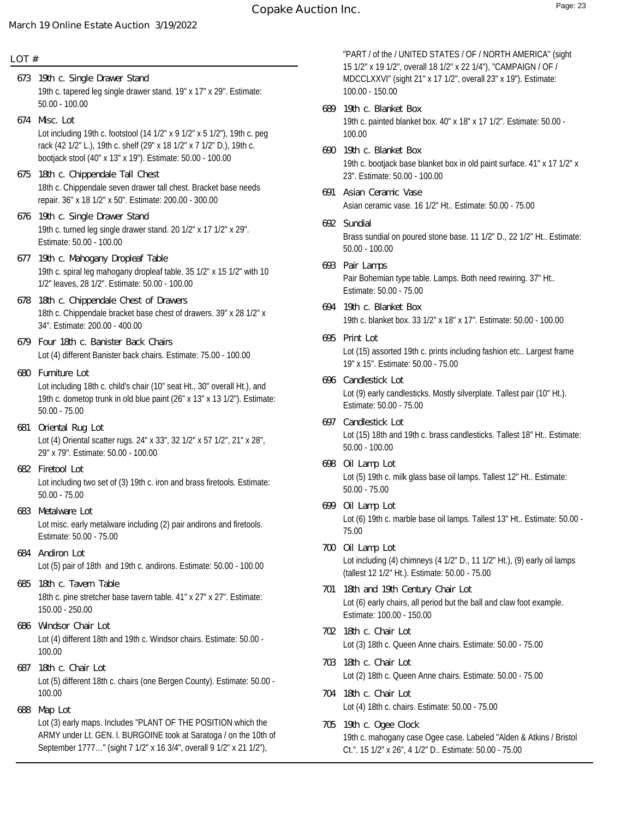### **LOT #**

- 19th c. tapered leg single drawer stand. 19" x 17" x 29". Estimate: 50.00 - 100.00 **673 19th c. Single Drawer Stand**
- Lot including 19th c. footstool (14 1/2" x 9 1/2" x 5 1/2"), 19th c. peg rack (42 1/2" L.), 19th c. shelf (29" x 18 1/2" x 7 1/2" D.), 19th c. bootjack stool (40" x 13" x 19"). Estimate: 50.00 - 100.00 **674 Misc. Lot**
- 18th c. Chippendale seven drawer tall chest. Bracket base needs repair. 36" x 18 1/2" x 50". Estimate: 200.00 - 300.00 **675 18th c. Chippendale Tall Chest**
- 19th c. turned leg single drawer stand. 20 1/2" x 17 1/2" x 29". Estimate: 50.00 - 100.00 **676 19th c. Single Drawer Stand**
- 19th c. spiral leg mahogany dropleaf table. 35 1/2" x 15 1/2" with 10 1/2" leaves, 28 1/2". Estimate: 50.00 - 100.00 **677 19th c. Mahogany Dropleaf Table**
- 18th c. Chippendale bracket base chest of drawers. 39" x 28 1/2" x 34". Estimate: 200.00 - 400.00 **678 18th c. Chippendale Chest of Drawers**
- Lot (4) different Banister back chairs. Estimate: 75.00 100.00 **679 Four 18th c. Banister Back Chairs**
- Lot including 18th c. child's chair (10" seat Ht., 30" overall Ht.), and 19th c. dometop trunk in old blue paint (26" x 13" x 13 1/2"). Estimate: 50.00 - 75.00 **680 Furniture Lot**
- Lot (4) Oriental scatter rugs. 24" x 33", 32 1/2" x 57 1/2", 21" x 28", 29" x 79". Estimate: 50.00 - 100.00 **681 Oriental Rug Lot**
- Lot including two set of (3) 19th c. iron and brass firetools. Estimate: 50.00 - 75.00 **682 Firetool Lot**
- Lot misc. early metalware including (2) pair andirons and firetools. Estimate: 50.00 - 75.00 **683 Metalware Lot**
- Lot (5) pair of 18th and 19th c. andirons. Estimate: 50.00 100.00 **684 Andiron Lot**
- 18th c. pine stretcher base tavern table. 41" x 27" x 27". Estimate: 150.00 - 250.00 **685 18th c. Tavern Table**
- Lot (4) different 18th and 19th c. Windsor chairs. Estimate: 50.00 100.00 **686 Windsor Chair Lot**
- Lot (5) different 18th c. chairs (one Bergen County). Estimate: 50.00 100.00 **687 18th c. Chair Lot**
- Lot (3) early maps. Includes "PLANT OF THE POSITION which the ARMY under Lt. GEN. l. BURGOINE took at Saratoga / on the 10th of September 1777…" (sight 7 1/2" x 16 3/4", overall 9 1/2" x 21 1/2"), **688 Map Lot**

"PART / of the / UNITED STATES / OF / NORTH AMERICA" (sight 15 1/2" x 19 1/2", overall 18 1/2" x 22 1/4"), "CAMPAIGN / OF / MDCCLXXVI" (sight 21" x 17 1/2", overall 23" x 19"). Estimate: 100.00 - 150.00

- 19th c. painted blanket box. 40" x 18" x 17 1/2". Estimate: 50.00 100.00 **689 19th c. Blanket Box**
- 19th c. bootjack base blanket box in old paint surface. 41" x 17 1/2" x 23". Estimate: 50.00 - 100.00 **690 19th c. Blanket Box**
- Asian ceramic vase. 16 1/2" Ht.. Estimate: 50.00 75.00 **691 Asian Ceramic Vase**
- Brass sundial on poured stone base. 11 1/2" D., 22 1/2" Ht.. Estimate: 50.00 - 100.00 **692 Sundial**
- Pair Bohemian type table. Lamps. Both need rewiring. 37" Ht.. Estimate: 50.00 - 75.00 **693 Pair Lamps**
- 19th c. blanket box. 33 1/2" x 18" x 17". Estimate: 50.00 100.00 **694 19th c. Blanket Box**
- Lot (15) assorted 19th c. prints including fashion etc.. Largest frame 19" x 15". Estimate: 50.00 - 75.00 **695 Print Lot**
- Lot (9) early candlesticks. Mostly silverplate. Tallest pair (10" Ht.). Estimate: 50.00 - 75.00 **696 Candlestick Lot**
- Lot (15) 18th and 19th c. brass candlesticks. Tallest 18" Ht.. Estimate: 50.00 - 100.00 **697 Candlestick Lot**
- Lot (5) 19th c. milk glass base oil lamps. Tallest 12" Ht.. Estimate: 50.00 - 75.00 **698 Oil Lamp Lot**
- Lot (6) 19th c. marble base oil lamps. Tallest 13" Ht.. Estimate: 50.00 75.00 **699 Oil Lamp Lot**
- Lot including (4) chimneys (4 1/2" D., 11 1/2" Ht.), (9) early oil lamps (tallest 12 1/2" Ht.). Estimate: 50.00 - 75.00 **700 Oil Lamp Lot**
- Lot (6) early chairs, all period but the ball and claw foot example. Estimate: 100.00 - 150.00 **701 18th and 19th Century Chair Lot**
- Lot (3) 18th c. Queen Anne chairs. Estimate: 50.00 75.00 **702 18th c. Chair Lot**
- Lot (2) 18th c. Queen Anne chairs. Estimate: 50.00 75.00 **703 18th c. Chair Lot**
- Lot (4) 18th c. chairs. Estimate: 50.00 75.00 **704 18th c. Chair Lot**
- 19th c. mahogany case Ogee case. Labeled "Alden & Atkins / Bristol Ct.". 15 1/2" x 26", 4 1/2" D.. Estimate: 50.00 - 75.00 **705 19th c. Ogee Clock**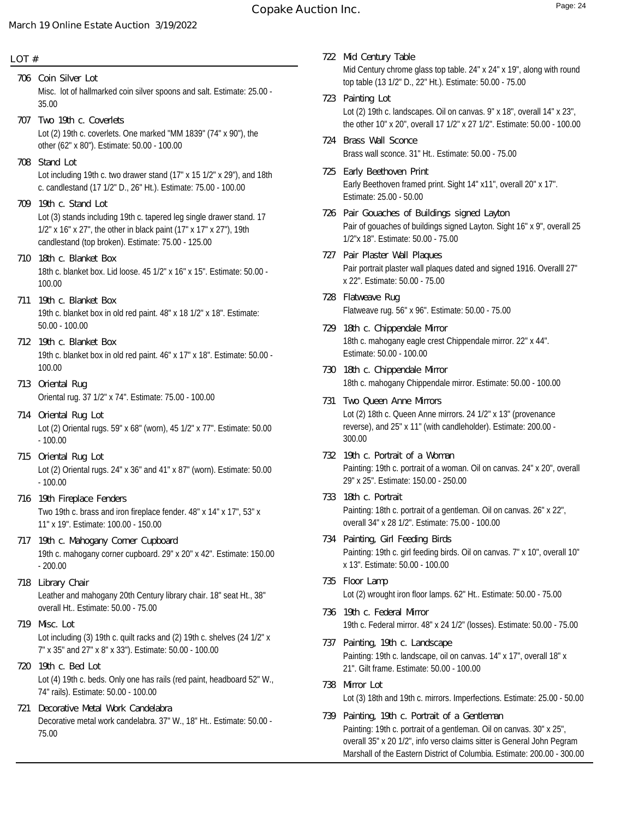#### **LOT #**

- Misc. lot of hallmarked coin silver spoons and salt. Estimate: 25.00 35.00 **706 Coin Silver Lot**
- Lot (2) 19th c. coverlets. One marked "MM 1839" (74" x 90"), the other (62" x 80"). Estimate: 50.00 - 100.00 **707 Two 19th c. Coverlets**
- Lot including 19th c. two drawer stand (17" x 15 1/2" x 29"), and 18th c. candlestand (17 1/2" D., 26" Ht.). Estimate: 75.00 - 100.00 **708 Stand Lot**
- Lot (3) stands including 19th c. tapered leg single drawer stand. 17 1/2" x 16" x 27", the other in black paint (17" x 17" x 27"), 19th candlestand (top broken). Estimate: 75.00 - 125.00 **709 19th c. Stand Lot**
- 18th c. blanket box. Lid loose. 45 1/2" x 16" x 15". Estimate: 50.00 100.00 **710 18th c. Blanket Box**
- 19th c. blanket box in old red paint. 48" x 18 1/2" x 18". Estimate: 50.00 - 100.00 **711 19th c. Blanket Box**
- 19th c. blanket box in old red paint. 46" x 17" x 18". Estimate: 50.00 100.00 **712 19th c. Blanket Box**
- Oriental rug. 37 1/2" x 74". Estimate: 75.00 100.00 **713 Oriental Rug**
- Lot (2) Oriental rugs. 59" x 68" (worn), 45 1/2" x 77". Estimate: 50.00 - 100.00 **714 Oriental Rug Lot**
- Lot (2) Oriental rugs. 24" x 36" and 41" x 87" (worn). Estimate: 50.00 - 100.00 **715 Oriental Rug Lot**
- Two 19th c. brass and iron fireplace fender. 48" x 14" x 17", 53" x 11" x 19". Estimate: 100.00 - 150.00 **716 19th Fireplace Fenders**
- 19th c. mahogany corner cupboard. 29" x 20" x 42". Estimate: 150.00 - 200.00 **717 19th c. Mahogany Corner Cupboard**
- Leather and mahogany 20th Century library chair. 18" seat Ht., 38" overall Ht.. Estimate: 50.00 - 75.00 **718 Library Chair**
- Lot including (3) 19th c. quilt racks and (2) 19th c. shelves (24 1/2" x 7" x 35" and 27" x 8" x 33"). Estimate: 50.00 - 100.00 **719 Misc. Lot**
- Lot (4) 19th c. beds. Only one has rails (red paint, headboard 52" W., 74" rails). Estimate: 50.00 - 100.00 **720 19th c. Bed Lot**
- Decorative metal work candelabra. 37" W., 18" Ht.. Estimate: 50.00 75.00 **721 Decorative Metal Work Candelabra**
- Mid Century chrome glass top table. 24" x 24" x 19", along with round top table (13 1/2" D., 22" Ht.). Estimate: 50.00 - 75.00 **722 Mid Century Table**
- Lot (2) 19th c. landscapes. Oil on canvas. 9" x 18", overall 14" x 23", the other 10" x 20", overall 17 1/2" x 27 1/2". Estimate: 50.00 - 100.00 **723 Painting Lot**
- Brass wall sconce. 31" Ht.. Estimate: 50.00 75.00 **724 Brass Wall Sconce**
- Early Beethoven framed print. Sight 14" x11", overall 20" x 17". Estimate: 25.00 - 50.00 **725 Early Beethoven Print**
- Pair of gouaches of buildings signed Layton. Sight 16" x 9", overall 25 1/2"x 18". Estimate: 50.00 - 75.00 **726 Pair Gouaches of Buildings signed Layton**
- Pair portrait plaster wall plaques dated and signed 1916. Overalll 27" x 22". Estimate: 50.00 - 75.00 **727 Pair Plaster Wall Plaques**
- Flatweave rug. 56" x 96". Estimate: 50.00 75.00 **728 Flatweave Rug**
- 18th c. mahogany eagle crest Chippendale mirror. 22" x 44". Estimate: 50.00 - 100.00 **729 18th c. Chippendale Mirror**
- 18th c. mahogany Chippendale mirror. Estimate: 50.00 100.00 **730 18th c. Chippendale Mirror**
- Lot (2) 18th c. Queen Anne mirrors. 24 1/2" x 13" (provenance reverse), and 25" x 11" (with candleholder). Estimate: 200.00 - 300.00 **731 Two Queen Anne Mirrors**
- Painting: 19th c. portrait of a woman. Oil on canvas. 24" x 20", overall 29" x 25". Estimate: 150.00 - 250.00 **732 19th c. Portrait of a Woman**
- Painting: 18th c. portrait of a gentleman. Oil on canvas. 26" x 22", overall 34" x 28 1/2". Estimate: 75.00 - 100.00 **733 18th c. Portrait**
- Painting: 19th c. girl feeding birds. Oil on canvas. 7" x 10", overall 10" x 13". Estimate: 50.00 - 100.00 **734 Painting, Girl Feeding Birds**
- Lot (2) wrought iron floor lamps. 62" Ht.. Estimate: 50.00 75.00 **735 Floor Lamp**
- 19th c. Federal mirror. 48" x 24 1/2" (losses). Estimate: 50.00 75.00 **736 19th c. Federal Mirror**
- Painting: 19th c. landscape, oil on canvas. 14" x 17", overall 18" x 21". Gilt frame. Estimate: 50.00 - 100.00 **737 Painting, 19th c. Landscape**
- Lot (3) 18th and 19th c. mirrors. Imperfections. Estimate: 25.00 50.00 **738 Mirror Lot**
- Painting: 19th c. portrait of a gentleman. Oil on canvas. 30" x 25", overall 35" x 20 1/2", info verso claims sitter is General John Pegram Marshall of the Eastern District of Columbia. Estimate: 200.00 - 300.00 **739 Painting, 19th c. Portrait of a Gentleman**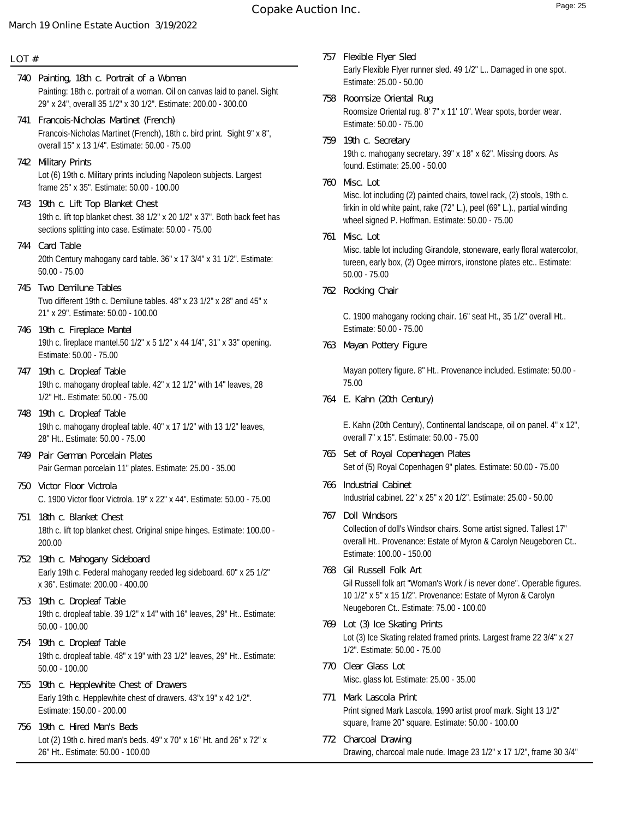# **Copake Auction Inc.** The Copake Auction Inc.

# **March 19 Online Estate Auction 3/19/2022**

### **LOT #**

- Painting: 18th c. portrait of a woman. Oil on canvas laid to panel. Sight 29" x 24", overall 35 1/2" x 30 1/2". Estimate: 200.00 - 300.00 **740 Painting, 18th c. Portrait of a Woman**
- Francois-Nicholas Martinet (French), 18th c. bird print. Sight 9" x 8", overall 15" x 13 1/4". Estimate: 50.00 - 75.00 **741 Francois-Nicholas Martinet (French)**
- Lot (6) 19th c. Military prints including Napoleon subjects. Largest frame 25" x 35". Estimate: 50.00 - 100.00 **742 Military Prints**
- 19th c. lift top blanket chest. 38 1/2" x 20 1/2" x 37". Both back feet has sections splitting into case. Estimate: 50.00 - 75.00 **743 19th c. Lift Top Blanket Chest**
- 20th Century mahogany card table. 36" x 17 3/4" x 31 1/2". Estimate: 50.00 - 75.00 **744 Card Table**
- Two different 19th c. Demilune tables. 48" x 23 1/2" x 28" and 45" x 21" x 29". Estimate: 50.00 - 100.00 **745 Two Demilune Tables**
- 19th c. fireplace mantel.50 1/2" x 5 1/2" x 44 1/4", 31" x 33" opening. Estimate: 50.00 - 75.00 **746 19th c. Fireplace Mantel**
- 19th c. mahogany dropleaf table. 42" x 12 1/2" with 14" leaves, 28 1/2" Ht.. Estimate: 50.00 - 75.00 **747 19th c. Dropleaf Table**
- 19th c. mahogany dropleaf table. 40" x 17 1/2" with 13 1/2" leaves, 28" Ht.. Estimate: 50.00 - 75.00 **748 19th c. Dropleaf Table**
- Pair German porcelain 11" plates. Estimate: 25.00 35.00 **749 Pair German Porcelain Plates**
- C. 1900 Victor floor Victrola. 19" x 22" x 44". Estimate: 50.00 75.00 **750 Victor Floor Victrola**
- 18th c. lift top blanket chest. Original snipe hinges. Estimate: 100.00 200.00 **751 18th c. Blanket Chest**
- Early 19th c. Federal mahogany reeded leg sideboard. 60" x 25 1/2" x 36". Estimate: 200.00 - 400.00 **752 19th c. Mahogany Sideboard**
- 19th c. dropleaf table. 39 1/2" x 14" with 16" leaves, 29" Ht.. Estimate: 50.00 - 100.00 **753 19th c. Dropleaf Table**
- 19th c. dropleaf table. 48" x 19" with 23 1/2" leaves, 29" Ht.. Estimate: 50.00 - 100.00 **754 19th c. Dropleaf Table**
- Early 19th c. Hepplewhite chest of drawers. 43"x 19" x 42 1/2". Estimate: 150.00 - 200.00 **755 19th c. Hepplewhite Chest of Drawers**
- Lot (2) 19th c. hired man's beds. 49" x 70" x 16" Ht. and 26" x 72" x 26" Ht.. Estimate: 50.00 - 100.00 **756 19th c. Hired Man's Beds**
- Early Flexible Flyer runner sled. 49 1/2" L.. Damaged in one spot. Estimate: 25.00 - 50.00 **757 Flexible Flyer Sled**
- Roomsize Oriental rug. 8' 7" x 11' 10". Wear spots, border wear. Estimate: 50.00 - 75.00 **758 Roomsize Oriental Rug**
- 19th c. mahogany secretary. 39" x 18" x 62". Missing doors. As found. Estimate: 25.00 - 50.00 **759 19th c. Secretary**
- Misc. lot including (2) painted chairs, towel rack, (2) stools, 19th c. firkin in old white paint, rake (72" L.), peel (69" L.)., partial winding wheel signed P. Hoffman. Estimate: 50.00 - 75.00 **760 Misc. Lot**
- Misc. table lot including Girandole, stoneware, early floral watercolor, tureen, early box, (2) Ogee mirrors, ironstone plates etc.. Estimate: 50.00 - 75.00 **761 Misc. Lot**
- **762 Rocking Chair**

C. 1900 mahogany rocking chair. 16" seat Ht., 35 1/2" overall Ht.. Estimate: 50.00 - 75.00

**763 Mayan Pottery Figure**

Mayan pottery figure. 8" Ht.. Provenance included. Estimate: 50.00 - 75.00

**764 E. Kahn (20th Century)**

E. Kahn (20th Century), Continental landscape, oil on panel. 4" x 12", overall 7" x 15". Estimate: 50.00 - 75.00

- Set of (5) Royal Copenhagen 9" plates. Estimate: 50.00 75.00 **765 Set of Royal Copenhagen Plates**
- Industrial cabinet. 22" x 25" x 20 1/2". Estimate: 25.00 50.00 **766 Industrial Cabinet**
- Collection of doll's Windsor chairs. Some artist signed. Tallest 17" overall Ht.. Provenance: Estate of Myron & Carolyn Neugeboren Ct.. Estimate: 100.00 - 150.00 **767 Doll Windsors**
- Gil Russell folk art "Woman's Work / is never done". Operable figures. 10 1/2" x 5" x 15 1/2". Provenance: Estate of Myron & Carolyn Neugeboren Ct.. Estimate: 75.00 - 100.00 **768 Gil Russell Folk Art**
- Lot (3) Ice Skating related framed prints. Largest frame 22 3/4" x 27 1/2". Estimate: 50.00 - 75.00 **769 Lot (3) Ice Skating Prints**
- Misc. glass lot. Estimate: 25.00 35.00 **770 Clear Glass Lot**
- Print signed Mark Lascola, 1990 artist proof mark. Sight 13 1/2" square, frame 20" square. Estimate: 50.00 - 100.00 **771 Mark Lascola Print**
- Drawing, charcoal male nude. Image 23 1/2" x 17 1/2", frame 30 3/4" **772 Charcoal Drawing**